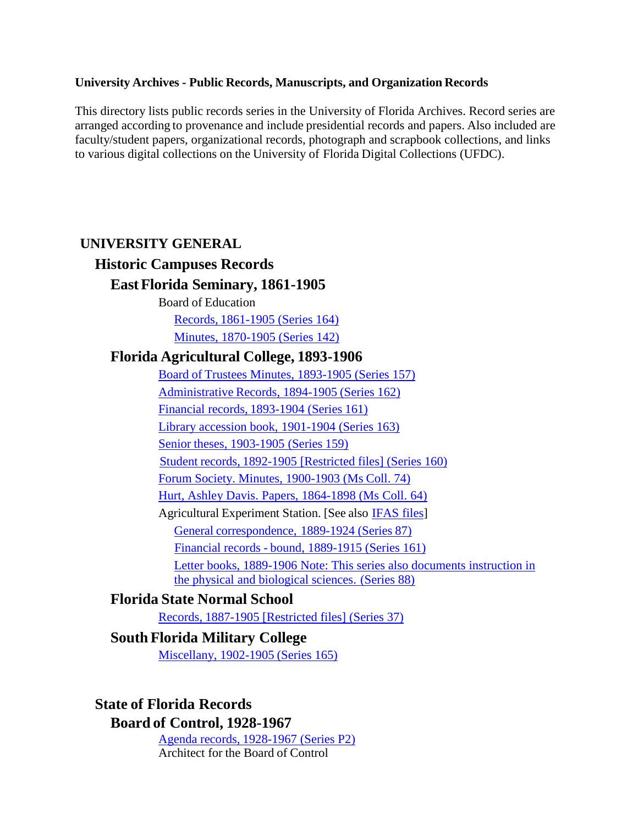#### **University Archives - Public Records, Manuscripts, and Organization Records**

This directory lists public records series in the University of Florida Archives. Record series are arranged according to provenance and include presidential records and papers. Also included are faculty/student papers, organizational records, photograph and scrapbook collections, and links to various digital collections on the University of Florida Digital Collections (UFDC).

### **UNIVERSITY GENERAL**

# **Historic Campuses Records**

### **EastFlorida Seminary, 1861-1905**

Board of Education

Records, [1861-1905](https://findingaids.uflib.ufl.edu/repositories/2/resources/1024) (Series 164)

Minutes, [1870-1905](https://findingaids.uflib.ufl.edu/repositories/2/resources/996) (Series 142)

### <span id="page-0-0"></span>**Florida Agricultural College, 1893-1906**

Board of Trustees Minutes, 1893-1905 [\(Series 157\)](https://findingaids.uflib.ufl.edu/repositories/2/resources/1019) [Administrative](https://findingaids.uflib.ufl.edu/repositories/2/resources/1016) Records, 1894-1905 (Series 162) Financial records, [1893-1904](https://findingaids.uflib.ufl.edu/repositories/2/resources/1015) (Series 161) [Library accession book,](https://findingaids.uflib.ufl.edu/repositories/2/resources/1023) 1901-1904 (Series 163) Senior theses, [1903-1905](https://findingaids.uflib.ufl.edu/repositories/2/resources/1021) (Series 159) Student records, [1892-1905 \[Restricted](https://findingaids.uflib.ufl.edu/repositories/2/resources/1022) files] (Series 160) Forum Society. [Minutes, 1900-1903](https://findingaids.uflib.ufl.edu/repositories/2/resources/1355) (Ms Coll. 74) Hurt, [Ashley Davis.](https://findingaids.uflib.ufl.edu/repositories/2/resources/1245) Papers, 1864-1898 (Ms Coll. 64) Agricultural Experiment Station. [See also [IFAS](#page-8-0) files] General [correspondence,](https://findingaids.uflib.ufl.edu/repositories/2/resources/900) 1889-1924 (Series 87) Financial records - bound, [1889-1915](https://findingaids.uflib.ufl.edu/repositories/2/resources/1015) (Series 161) [Letter books, 1889-1906 Note: This series also documents instruction in](https://findingaids.uflib.ufl.edu/repositories/2/resources/901) [the](https://findingaids.uflib.ufl.edu/repositories/2/resources/901) physical [and biological sciences.](https://findingaids.uflib.ufl.edu/repositories/2/resources/901) (Series 88)

# **Florida State Normal School**

Records, 1887-1905 [Restricted [files\] \(Series 37\)](https://findingaids.uflib.ufl.edu/repositories/2/resources/856)

# **South Florida Military College**

[Miscellany,](https://findingaids.uflib.ufl.edu/repositories/2/resources/1025) 1902-1905 (Series 165)

# **State of Florida Records**

### **Board of Control, 1928-1967**

Agenda records, [1928-1967](https://findingaids.uflib.ufl.edu/repositories/2/resources/1040) (Series P2) Architect for the Board of Control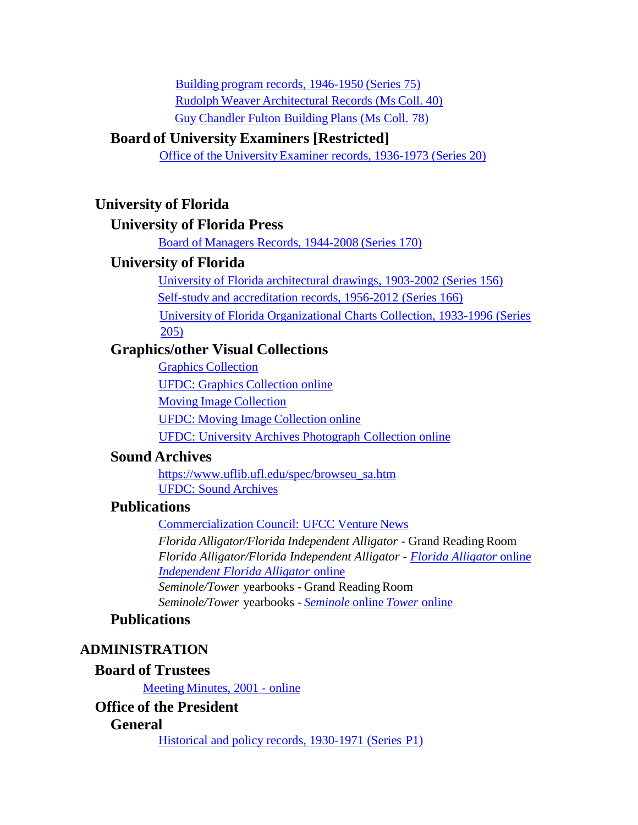Building program records, [1946-1950](https://findingaids.uflib.ufl.edu/repositories/2/resources/913) (Series 75) Rudolph Weaver [Architectural](https://findingaids.uflib.ufl.edu/repositories/2/resources/1221) Records (Ms Coll. 40) Guy [Chandler](https://findingaids.uflib.ufl.edu/repositories/2/resources/1253) Fulton Building Plans (Ms Coll. 78)

# **Board of University Examiners [Restricted]**

Office of the University [Examiner records,](https://findingaids.uflib.ufl.edu/repositories/2/resources/1411) 1936-1973 (Series 20)

## **University of Florida**

#### **University of Florida Press**

Board of Managers [Records, 1944-2008](https://findingaids.uflib.ufl.edu/repositories/2/resources/1033) (Series 170)

### **University of Florida**

University of Florida [architectural](https://findingaids.uflib.ufl.edu/repositories/2/resources/1018) drawings, 1903-2002 (Series 156) Self-study and accreditation [records, 1956-2012](https://findingaids.uflib.ufl.edu/repositories/2/resources/1026) (Series 166) University of Florida Organizational Charts [Collection, 1933-1996](https://findingaids.uflib.ufl.edu/repositories/2/resources/1755) (Series [205\)](https://findingaids.uflib.ufl.edu/repositories/2/resources/1755)

# **Graphics/other Visual Collections**

Graphics [Collection](https://findingaids.uflib.ufl.edu/repositories/2/resources/1686)

UFDC: Graphics [Collection online](https://ufdc.ufl.edu/uagraphics)

Moving Image [Collection](https://www.uflib.ufl.edu/spec/browseu_uamov.htm)

UFDC: Moving Image [Collection](https://ufdc.ufl.edu/universityarchives/movingimage) online

UFDC: University Archives [Photograph](https://ufdc.ufl.edu/uapc) Collection online

### **Sound Archives**

[https://www.uflib.ufl.edu/spec/browseu\\_sa.htm](https://www.uflib.ufl.edu/spec/browseu_sa.htm) UFDC: Sound [Archives](https://ufdc.ufl.edu/universityarchives/info/sound)

# **Publications**

[Commercialization](https://ufdc.ufl.edu/UF00088889/00001) Council: UFCC Venture News

*Florida Alligator/Florida Independent Alligator* - Grand ReadingRoom *Florida Alligator/Florida Independent Alligator* - *[Florida Alligator](https://ufdc.ufl.edu/l/UF00028291/00001/allvolumes)* online *Independent [Florida Alligator](https://ufdc.ufl.edu/l/UF00028290/00001/allvolumes)* online *Seminole/Tower* yearbooks - Grand Reading Room

*Seminole/Tower* yearbooks - *[Seminole](https://ufdc.ufl.edu/l/AA00022765/00001/allvolumes)* online *[Tower](https://ufdc.ufl.edu/l/AA00022765/00001/allvolumes)* online

# **Publications**

### **ADMINISTRATION**

### **Board of Trustees**

Meeting [Minutes,](http://trustees.ufl.edu/meetings/) 2001 - online

# **Office of the President**

### **General**

Historical and [policy records,](https://findingaids.uflib.ufl.edu/repositories/2/resources/1039) 1930-1971 (Series P1)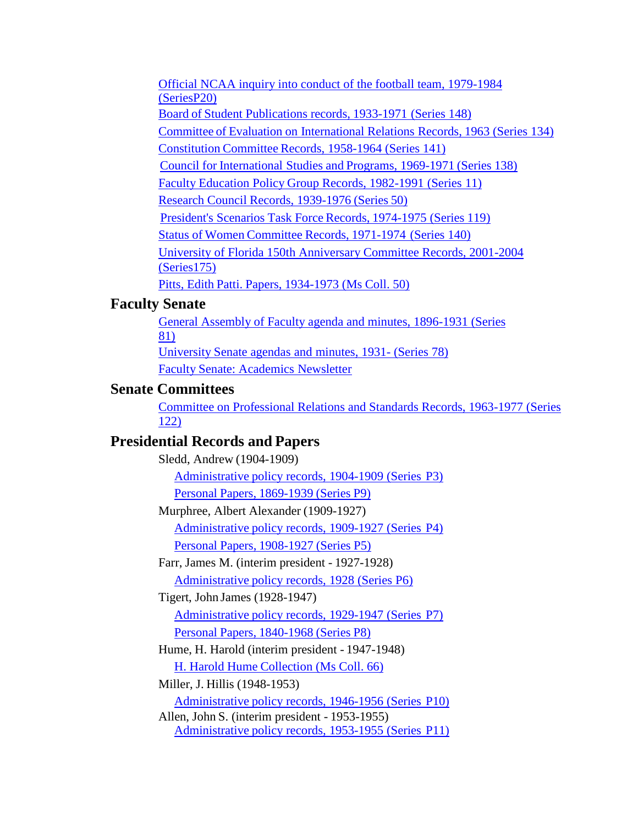[Official NCAA inquiry into conduct of the football team, 1979-1984](https://findingaids.uflib.ufl.edu/repositories/2/resources/1058) [\(SeriesP20\)](https://findingaids.uflib.ufl.edu/repositories/2/resources/1058) Board of Student [Publications records,](https://findingaids.uflib.ufl.edu/repositories/2/resources/1012) 1933-1971 (Series 148) Committee of Evaluation on [International](https://findingaids.uflib.ufl.edu/repositories/2/resources/1000) Relations Records, 1963 (Series 134) [Constitution](https://findingaids.uflib.ufl.edu/repositories/2/resources/995) Committee Records, 1958-1964 (Series 141) Council for [International](https://findingaids.uflib.ufl.edu/repositories/2/resources/1004) Studies and Programs, 1969-1971 (Series 138) Faculty Education Policy Group Records, [1982-1991](https://findingaids.uflib.ufl.edu/repositories/2/resources/812) (Series 11) Research Council Records, [1939-1976](https://findingaids.uflib.ufl.edu/repositories/2/resources/867) (Series 50) President's Scenarios Task Force Records, [1974-1975](https://findingaids.uflib.ufl.edu/repositories/2/resources/924) (Series 119) Status of Women [Committee](https://findingaids.uflib.ufl.edu/repositories/2/resources/1006) Records, 1971-1974 (Series 140) [University of Florida 150th Anniversary Committee Records, 2001-2004](https://findingaids.uflib.ufl.edu/repositories/2/resources/1032) [\(Series175\)](https://findingaids.uflib.ufl.edu/repositories/2/resources/1032) Pitts, Edith Patti. Papers, [1934-1973](https://findingaids.uflib.ufl.edu/repositories/2/resources/1233) (Ms Coll. 50)

### **Faculty Senate**

[General Assembly of Faculty agenda and minutes, 1896-1931 \(Series](https://findingaids.uflib.ufl.edu/repositories/2/resources/894) [81\)](https://findingaids.uflib.ufl.edu/repositories/2/resources/894) University [Senate agendas](https://findingaids.uflib.ufl.edu/repositories/2/resources/891) and minutes, 1931- (Series 78) Faculty Senate: [Academics](https://ufdc.ufl.edu/UF00055469/00001) Newsletter

# **Senate Committees**

[Committee on Professional Relations and Standards Records, 1963-1977 \(Series](https://findingaids.uflib.ufl.edu/repositories/2/resources/928) [122\)](https://findingaids.uflib.ufl.edu/repositories/2/resources/928)

# **Presidential Records and Papers**

Sledd, Andrew (1904-1909) [Administrative](https://findingaids.uflib.ufl.edu/repositories/2/resources/1041) policy records, 1904-1909 (Series P3) Personal Papers, [1869-1939](https://findingaids.uflib.ufl.edu/repositories/2/resources/783) (Series P9) Murphree, Albert Alexander (1909-1927) [Administrative](https://findingaids.uflib.ufl.edu/repositories/2/resources/1459) policy records, 1909-1927 (Series P4) Personal Papers, [1908-1927](https://findingaids.uflib.ufl.edu/repositories/2/resources/784) (Series P5) Farr, James M. (interim president - 1927-1928) [Administrative](https://findingaids.uflib.ufl.edu/repositories/2/resources/1043) policy records, 1928 (Series P6) Tigert, John James (1928-1947) [Administrative](https://findingaids.uflib.ufl.edu/repositories/2/resources/1044) policy records, 1929-1947 (Series P7) Personal Papers, [1840-1968](https://findingaids.uflib.ufl.edu/repositories/2/resources/782) (Series P8) Hume, H. Harold (interim president - 1947-1948) H. Harold Hume [Collection \(Ms](https://findingaids.uflib.ufl.edu/repositories/2/resources/1238) Coll. 66) Miller, J. Hillis (1948-1953) [Administrative](https://findingaids.uflib.ufl.edu/repositories/2/resources/1052) policy records, 1946-1956 (Series P10) Allen, John S. (interim president - 1953-1955) [Administrative](https://findingaids.uflib.ufl.edu/repositories/2/resources/1053) policy records, 1953-1955 (Series P11)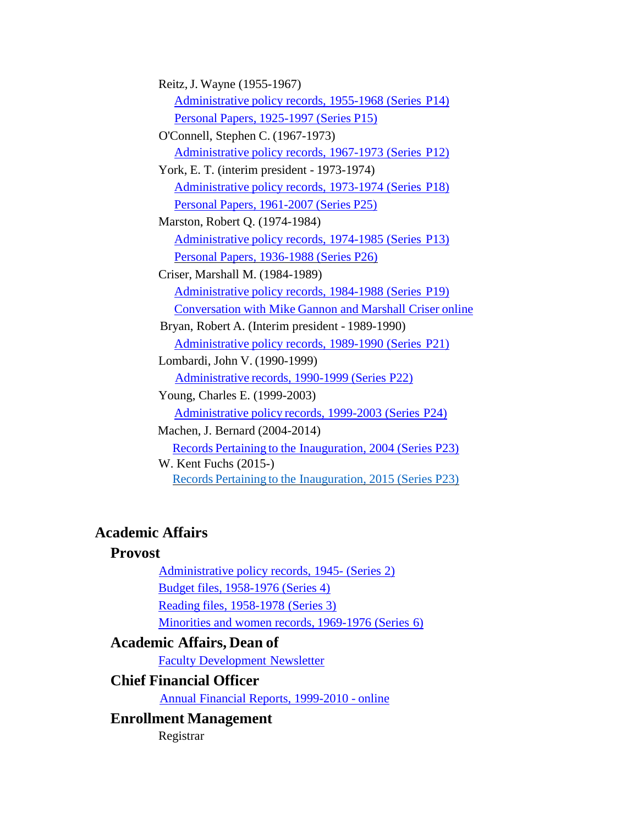| Reitz, J. Wayne (1955-1967)                                     |
|-----------------------------------------------------------------|
| Administrative policy records, 1955-1968 (Series P14)           |
| Personal Papers, 1925-1997 (Series P15)                         |
| O'Connell, Stephen C. (1967-1973)                               |
| Administrative policy records, 1967-1973 (Series P12)           |
| York, E. T. (interim president - 1973-1974)                     |
| Administrative policy records, 1973-1974 (Series P18)           |
| Personal Papers, 1961-2007 (Series P25)                         |
| Marston, Robert Q. (1974-1984)                                  |
| Administrative policy records, 1974-1985 (Series P13)           |
| Personal Papers, 1936-1988 (Series P26)                         |
| Criser, Marshall M. (1984-1989)                                 |
| Administrative policy records, 1984-1988 (Series P19)           |
| <b>Conversation with Mike Gannon and Marshall Criser online</b> |
| Bryan, Robert A. (Interim president - 1989-1990)                |
| Administrative policy records, 1989-1990 (Series P21)           |
| Lombardi, John V. (1990-1999)                                   |
| Administrative records, 1990-1999 (Series P22)                  |
| Young, Charles E. (1999-2003)                                   |
| Administrative policy records, 1999-2003 (Series P24)           |
| Machen, J. Bernard (2004-2014)                                  |
| Records Pertaining to the Inauguration, 2004 (Series P23)       |
| W. Kent Fuchs (2015-)                                           |
| Records Pertaining to the Inauguration, 2015 (Series P23)       |

# **Academic Affairs**

# **Provost**

[Administrative](https://findingaids.uflib.ufl.edu/repositories/2/resources/802) policy records, 1945- (Series 2) Budget files, [1958-1976](https://findingaids.uflib.ufl.edu/repositories/2/resources/804) (Series 4) Reading files, [1958-1978](https://findingaids.uflib.ufl.edu/repositories/2/resources/803) (Series 3)

Minorities and women records, [1969-1976](https://findingaids.uflib.ufl.edu/repositories/2/resources/806) (Series 6)

# **Academic Affairs, Dean of**

[Faculty Development](https://ufdc.ufl.edu/UF00073272/00002) Newsletter

# **Chief Financial Officer**

Annual [Financial Reports,](https://ufdc.ufl.edu/UF00072278/00001) 1999-2010 - online

# **Enrollment Management**

Registrar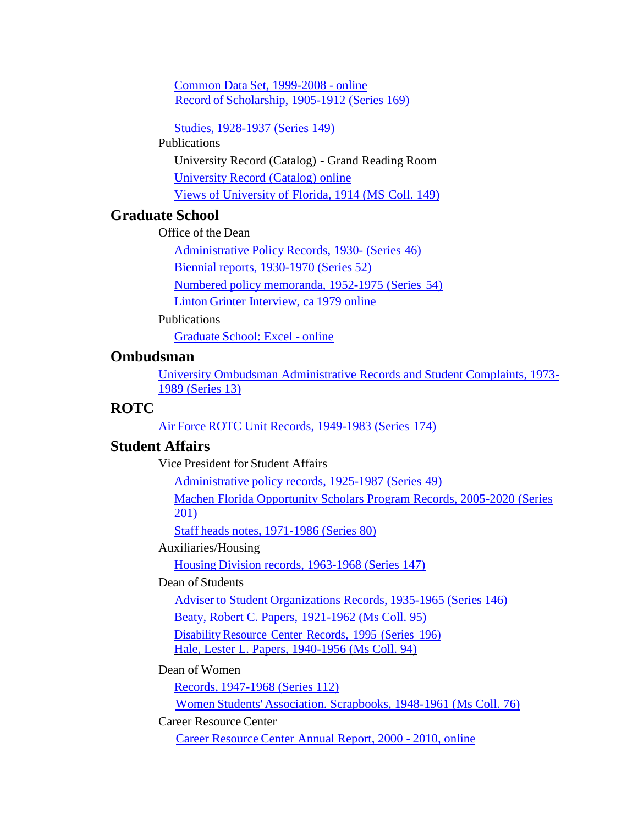Common Data Set, [1999-2008 -](https://ufdc.ufl.edu/UF00086891/00001) online Record of [Scholarship, 1905-1912](https://findingaids.uflib.ufl.edu/repositories/2/resources/1029) (Series 169)

Studies, [1928-1937](https://findingaids.uflib.ufl.edu/repositories/2/resources/1013) (Series 149)

Publications

University Record (Catalog) - Grand Reading Room [University](https://ufdc.ufl.edu/UF00075594/00001/allvolumes) Record (Catalog) online Views of University of [Florida, 1914 \(MS](https://findingaids.uflib.ufl.edu/repositories/2/resources/1674) Coll. 149)

# **Graduate School**

Office of the Dean

[Administrative](https://findingaids.uflib.ufl.edu/repositories/2/resources/859) Policy Records, 1930- (Series 46)

Biennial reports, [1930-1970](https://findingaids.uflib.ufl.edu/repositories/2/resources/869) (Series 52)

Numbered policy [memoranda,](https://findingaids.uflib.ufl.edu/repositories/2/resources/871) 1952-1975 (Series 54)

Linton Grinter [Interview,](https://ufdc.ufl.edu/AA00052503/00001) ca 1979 online

Publications

[Graduate](https://ufdc.ufl.edu/UF00073863/00001) School: Excel - online

# **Ombudsman**

[University Ombudsman Administrative Records and Student Complaints, 1973-](https://findingaids.uflib.ufl.edu/repositories/2/resources/815) 1989 [\(Series 13\)](https://findingaids.uflib.ufl.edu/repositories/2/resources/815)

## **ROTC**

Air Force [ROTC Unit](https://findingaids.uflib.ufl.edu/repositories/2/resources/1031) Records, 1949-1983 (Series 174)

### **Student Affairs**

Vice President for Student Affairs

[Administrative](https://findingaids.uflib.ufl.edu/repositories/2/resources/1415) policy records, 1925-1987 (Series 49)

[Machen Florida Opportunity Scholars Program Records, 2005-2020 \(Series](https://findingaids.uflib.ufl.edu/repositories/2/resources/1708) [201\)](https://findingaids.uflib.ufl.edu/repositories/2/resources/1708)

Staff heads notes, [1971-1986](https://findingaids.uflib.ufl.edu/repositories/2/resources/893) (Series 80)

Auxiliaries/Housing

Housing Division records, [1963-1968 \(Series](https://findingaids.uflib.ufl.edu/repositories/2/resources/1011) 147)

Dean of Students

Adviser to Student [Organizations](https://findingaids.uflib.ufl.edu/repositories/2/resources/1010) Records, 1935-1965 (Series 146)

Beaty, [Robert C. Papers,](https://findingaids.uflib.ufl.edu/repositories/2/resources/1258) 1921-1962 (Ms Coll. 95)

[Disability](https://findingaids.uflib.ufl.edu/repositories/2/resources/1660) Resource Center Records, 1995 (Series 196) Hale, Lester L. [Papers, 1940-1956](https://findingaids.uflib.ufl.edu/repositories/2/resources/1257) (Ms Coll. 94)

Dean of Women

Records, [1947-1968](https://findingaids.uflib.ufl.edu/repositories/2/resources/923) (Series 112)

Women Students' Association. Scrapbooks, [1948-1961 \(Ms](https://findingaids.uflib.ufl.edu/repositories/2/resources/1359) Coll. 76)

Career Resource Center

Career [Resource](https://ufdc.ufl.edu/UF00091012/00001) Center Annual Report, 2000 - 2010, online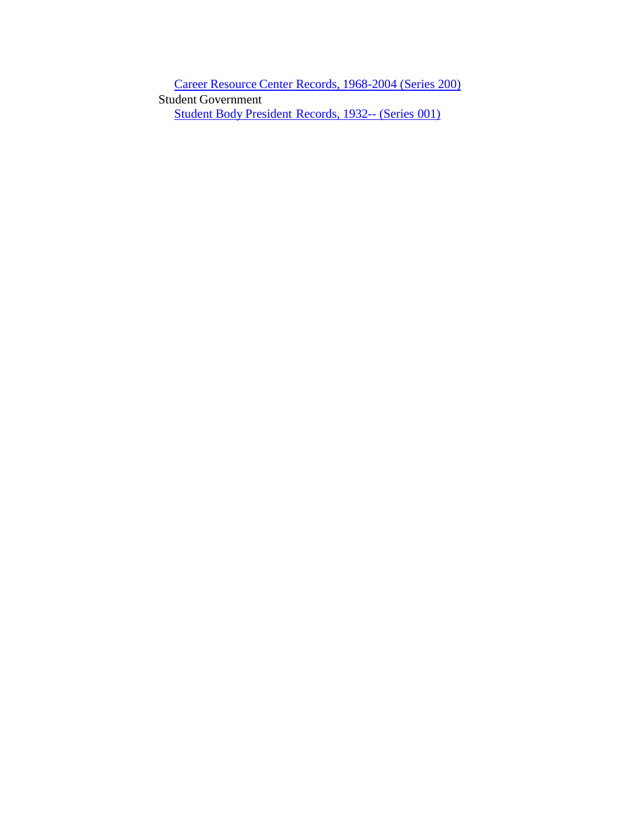Career Resource [Center Records,](https://findingaids.uflib.ufl.edu/repositories/2/resources/1682) 1968-2004 (Series 200) Student Government Student Body [President](https://findingaids.uflib.ufl.edu/repositories/2/resources/801) Records, 1932-- (Series 001)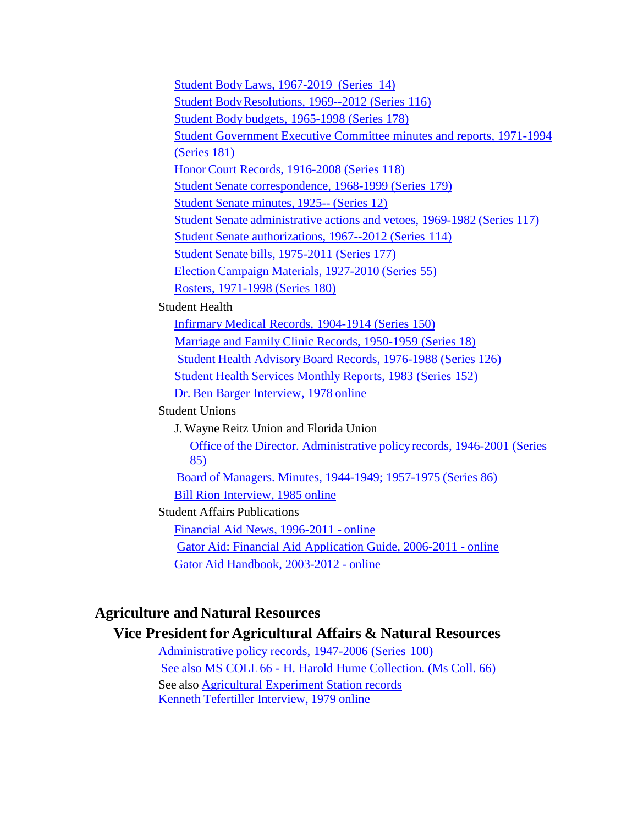Student Body Laws, [1967-2019](https://findingaids.uflib.ufl.edu/repositories/2/resources/1403) (Series 14) Student [BodyResolutions,](https://findingaids.uflib.ufl.edu/repositories/2/resources/1419) 1969--2012 (Series 116) Student Body budgets, [1965-1998 \(Series 178\)](https://findingaids.uflib.ufl.edu/repositories/2/resources/1425) [Student Government Executive Committee minutes and reports, 1971-1994](https://findingaids.uflib.ufl.edu/repositories/2/resources/1428) [\(Series](https://findingaids.uflib.ufl.edu/repositories/2/resources/1428) 181) Honor Court [Records, 1916-2008](https://findingaids.uflib.ufl.edu/repositories/2/resources/1429) (Series 118) Student Senate [correspondence,](https://findingaids.uflib.ufl.edu/repositories/2/resources/1426) 1968-1999 (Series 179) Student Senate [minutes,](https://findingaids.uflib.ufl.edu/repositories/2/resources/1402) 1925-- (Series 12) Student Senate [administrative](https://findingaids.uflib.ufl.edu/repositories/2/resources/1423) actions and vetoes, 1969-1982 (Series 117) Student Senate [authorizations, 1967--2012](https://findingaids.uflib.ufl.edu/repositories/2/resources/1418) (Series 114) Student Senate bills, [1975-2011](https://findingaids.uflib.ufl.edu/repositories/2/resources/1424) (Series 177) Election Campaign [Materials, 1927-2010](https://findingaids.uflib.ufl.edu/repositories/2/resources/1420) (Series 55) Rosters, [1971-1998 \(Series 180\)](https://findingaids.uflib.ufl.edu/repositories/2/resources/1427) Student Health Infirmary Medical Records, [1904-1914](https://findingaids.uflib.ufl.edu/repositories/2/resources/1014) (Series 150) Marriage and Family [Clinic Records,](https://findingaids.uflib.ufl.edu/repositories/2/resources/821) 1950-1959 (Series 18) Student Health [AdvisoryBoard Records,](https://findingaids.uflib.ufl.edu/repositories/2/resources/926) 1976-1988 (Series 126) Student Health [Services Monthly](https://findingaids.uflib.ufl.edu/repositories/2/resources/998) Reports, 1983 (Series 152) Dr. Ben Barger [Interview,](https://ufdc.ufl.edu/AA00052497/00001) 1978 online Student Unions J. Wayne Reitz Union and Florida Union Office of the [Director. Administrative](https://findingaids.uflib.ufl.edu/repositories/2/resources/897) policyrecords, 1946-2001 (Series [85\)](https://findingaids.uflib.ufl.edu/repositories/2/resources/897) Board of Managers. Minutes, [1944-1949;](https://findingaids.uflib.ufl.edu/repositories/2/resources/898) 1957-1975 (Series 86) Bill Rion [Interview,](https://ufdc.ufl.edu/AA00052561/00001) 1985 online Student Affairs Publications Financial Aid News, [1996-2011](https://ufdc.ufl.edu/UF00087108/00001) - online Gator Aid: Financial Aid [Application](https://ufdc.ufl.edu/UF00087106/00001) Guide, 2006-2011 - online Gator [Aid Handbook,](https://ufdc.ufl.edu/UF00087107/00001) 2003-2012 - online

# **Agriculture and Natural Resources**

#### **Vice President for Agricultural Affairs & Natural Resources**

[Administrative](https://findingaids.uflib.ufl.edu/repositories/2/resources/910) policy records, 1947-2006 (Series 100) See also MS COLL66 - H. Harold Hume [Collection. \(Ms](https://findingaids.uflib.ufl.edu/repositories/2/resources/1238) Coll. 66) See also Agricultural Experiment Station records Kenneth Tefertiller [Interview,](https://ufdc.ufl.edu/AA00052506/00001) 1979 online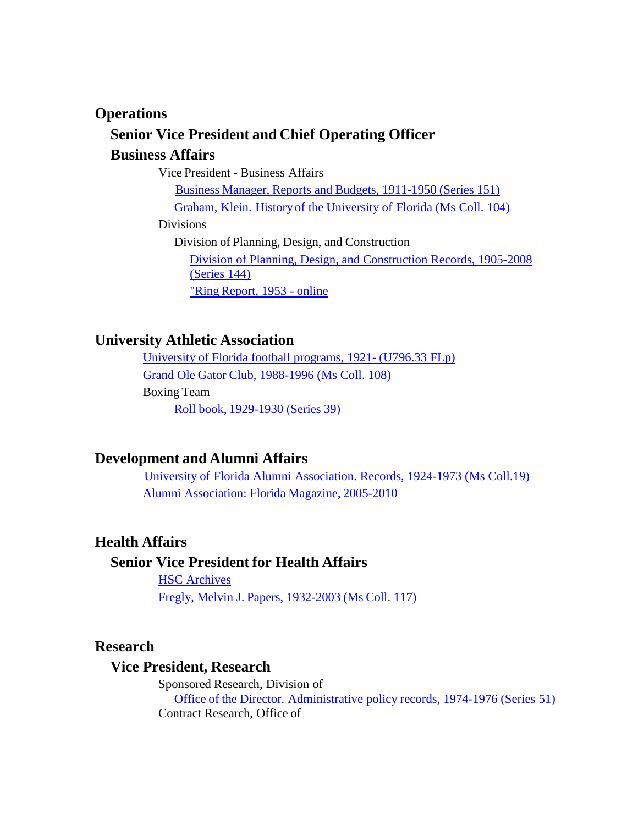#### **Operations**

# **Senior Vice President and Chief Operating Officer**

## **Business Affairs**

Vice President - Business Affairs

Business Manager, [Reports and](https://findingaids.uflib.ufl.edu/repositories/2/resources/997) Budgets, 1911-1950 (Series 151) Graham, Klein. Historyof the [University of](https://findingaids.uflib.ufl.edu/repositories/2/resources/1276) Florida (Ms Coll. 104)

Divisions

Division of Planning, Design, and Construction [Division of Planning, Design, and Construction Records, 1905-2008](https://findingaids.uflib.ufl.edu/repositories/2/resources/1008) [\(Series](https://findingaids.uflib.ufl.edu/repositories/2/resources/1008) 144)

"Ring [Report,](http://ufdc.ufl.edu/UF00003670/00001) 1953 - online

# **University Athletic Association**

[University](https://findingaids.uflib.ufl.edu/repositories/2/resources/1404) of Florida football programs, 1921- (U796.33 FLp) Grand Ole Gator Club, [1988-1996](https://findingaids.uflib.ufl.edu/repositories/2/resources/1370) (Ms Coll. 108) Boxing Team Roll book, [1929-1930](https://findingaids.uflib.ufl.edu/repositories/2/resources/854) (Series 39)

# **Development and Alumni Affairs**

University of Florida Alumni [Association.](https://findingaids.uflib.ufl.edu/repositories/2/resources/1310) Records, 1924-1973 (Ms Coll.19) Alumni [Association:](https://ufdc.ufl.edu/UF00073685/00007) Florida Magazine, 2005-2010

# **Health Affairs**

# **Senior Vice President for Health Affairs**

HSC [Archives](https://hsc-archives.sites.medinfo.ufl.edu/) Fregly, Melvin J. Papers, [1932-2003](https://findingaids.uflib.ufl.edu/repositories/2/resources/1278) (Ms Coll. 117)

#### **Research**

#### **Vice President, Research**

Sponsored Research, Division of Office of the Director. [Administrative](https://findingaids.uflib.ufl.edu/repositories/2/resources/868) policy records, 1974-1976 (Series 51) Contract Research, Office of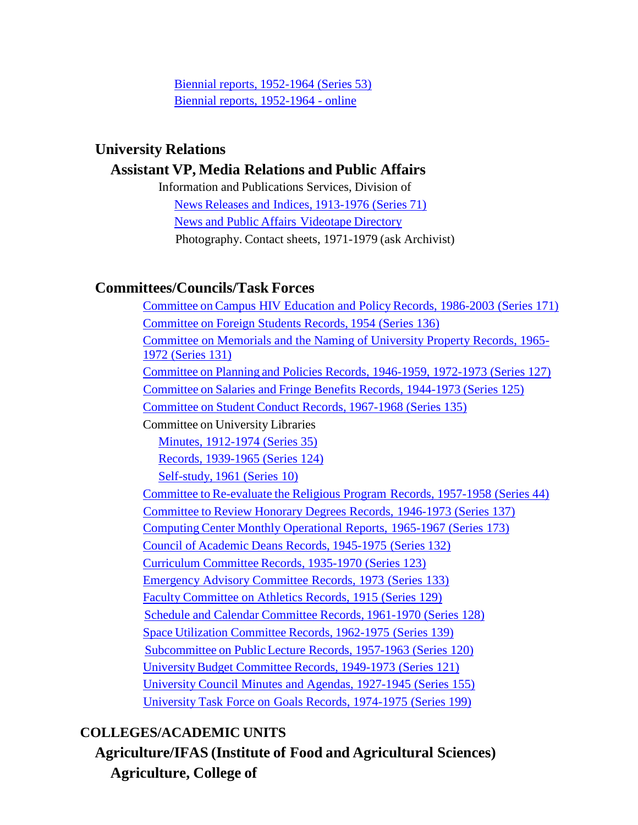Biennial reports, [1952-1964 \(Series](https://findingaids.uflib.ufl.edu/repositories/2/resources/870) 53) Biennial reports, [1952-1964](https://ufdc.ufl.edu/contractresearch) - online

## **University Relations**

## **Assistant VP, Media Relations and Public Affairs**

Information and Publications Services, Division of News Releases and Indices, [1913-1976](https://findingaids.uflib.ufl.edu/repositories/2/resources/875) (Series 71) News and Public Affairs [Videotape](https://www.uflib.ufl.edu/spec/browseu_uanpa.htm) Directory Photography. Contact sheets, 1971-1979 (ask Archivist)

# **Committees/Councils/Task Forces**

Committee on Campus HIV Education and Policy [Records, 1986-2003](https://findingaids.uflib.ufl.edu/repositories/2/resources/1034) (Series 171) [Committee](https://findingaids.uflib.ufl.edu/repositories/2/resources/1002) on Foreign Students Records, 1954 (Series 136) [Committee on Memorials and the Naming of University Property Records, 1965-](https://findingaids.uflib.ufl.edu/repositories/2/resources/934) 1972 [\(Series 131\)](https://findingaids.uflib.ufl.edu/repositories/2/resources/934) Committee on Planning and Policies Records, [1946-1959, 1972-1973 \(Series 127\)](https://findingaids.uflib.ufl.edu/repositories/2/resources/930) Committee on Salaries and Fringe [Benefits Records,](https://findingaids.uflib.ufl.edu/repositories/2/resources/915) 1944-1973 (Series 125) [Committee](https://findingaids.uflib.ufl.edu/repositories/2/resources/1001) on Student Conduct Records, 1967-1968 (Series 135) Committee on University Libraries Minutes, [1912-1974](https://findingaids.uflib.ufl.edu/repositories/2/resources/851) (Series 35) Records, [1939-1965](https://findingaids.uflib.ufl.edu/repositories/2/resources/914) (Series 124) [Self-study,](https://findingaids.uflib.ufl.edu/repositories/2/resources/809) 1961 (Series 10) Committee to Re-evaluate the [Religious Program](https://findingaids.uflib.ufl.edu/repositories/2/resources/864) Records, 1957-1958 (Series 44) [Committee](https://findingaids.uflib.ufl.edu/repositories/2/resources/1003) to Review Honorary Degrees Records, 1946-1973 (Series 137) Computing Center Monthly [Operational](https://findingaids.uflib.ufl.edu/repositories/2/resources/1036) Reports, 1965-1967 (Series 173) Council of Academic Deans Records, [1945-1975](https://findingaids.uflib.ufl.edu/repositories/2/resources/935) (Series 132) [Curriculum](https://findingaids.uflib.ufl.edu/repositories/2/resources/929) Committee Records, 1935-1970 (Series 123) Emergency [Advisory Committee](https://findingaids.uflib.ufl.edu/repositories/2/resources/936) Records, 1973 (Series 133) Faculty Committee [on Athletics Records,](https://findingaids.uflib.ufl.edu/repositories/2/resources/932) 1915 (Series 129) Schedule and Calendar [Committee](https://findingaids.uflib.ufl.edu/repositories/2/resources/931) Records, 1961-1970 (Series 128) Space Utilization [Committee](https://findingaids.uflib.ufl.edu/repositories/2/resources/1005) Records, 1962-1975 (Series 139) [Subcommittee](https://findingaids.uflib.ufl.edu/repositories/2/resources/925) on PublicLecture Records, 1957-1963 (Series 120) [UniversityBudget](https://findingaids.uflib.ufl.edu/repositories/2/resources/927) Committee Records, 1949-1973 (Series 121) University Council Minutes and Agendas, [1927-1945](https://findingaids.uflib.ufl.edu/repositories/2/resources/1017) (Series 155) University Task Force on Goals [Records, 1974-1975](https://findingaids.uflib.ufl.edu/repositories/2/resources/1680) (Series 199)

# <span id="page-8-0"></span>**COLLEGES/ACADEMIC UNITS**

**Agriculture/IFAS (Institute of Food and Agricultural Sciences) Agriculture, College of**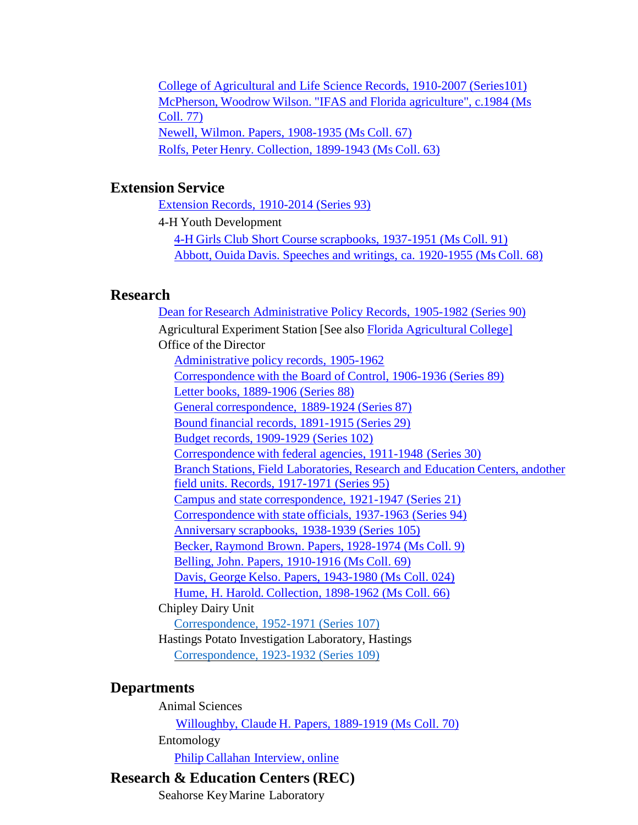College of [Agricultural](https://findingaids.uflib.ufl.edu/repositories/2/resources/916) and Life Science Records, 1910-2007 (Serie[s101\)](https://findingaids.uflib.ufl.edu/repositories/2/resources/916) McPherson, Woodrow Wilson. "IFAS and Florida [agriculture", c.1984](https://findingaids.uflib.ufl.edu/repositories/2/resources/1252) (Ms [Coll. 77\)](https://findingaids.uflib.ufl.edu/repositories/2/resources/1252) Newell, Wilmon. Papers, [1908-1935](https://findingaids.uflib.ufl.edu/repositories/2/resources/1239) (Ms Coll. 67) Rolfs, Peter Henry. [Collection, 1899-1943](https://findingaids.uflib.ufl.edu/repositories/2/resources/1244) (Ms Coll. 63)

## **Extension Service**

Extension Records, [1910-2014](https://findingaids.uflib.ufl.edu/repositories/2/resources/906) (Series 93)

4-H Youth Development

4-H Girls Club Short Course [scrapbooks, 1937-1951 \(Ms Coll. 91\)](https://findingaids.uflib.ufl.edu/repositories/2/resources/1363) Abbott, Ouida Davis. [Speeches and](https://findingaids.uflib.ufl.edu/repositories/2/resources/1240) writings, ca. 1920-1955 (Ms Coll. 68)

#### **Research**

Dean for Research Administrative [Policy Records,](https://findingaids.uflib.ufl.edu/repositories/2/resources/903) 1905-1982 (Series 90) Agricultural Experiment Station [See also Florida [Agricultural](#page-0-0) College] Office of the Director [Administrative](https://findingaids.uflib.ufl.edu/repositories/2/resources/903) policy records, 1905-1962 [Correspondence](https://findingaids.uflib.ufl.edu/repositories/2/resources/902) with the Board of Control, 1906-1936 (Series 89) [Letter books,](https://findingaids.uflib.ufl.edu/repositories/2/resources/901) 1889-1906 (Series 88) General [correspondence,](https://findingaids.uflib.ufl.edu/repositories/2/resources/900) 1889-1924 (Series 87) Bound financial records, [1891-1915](https://findingaids.uflib.ufl.edu/repositories/2/resources/831) (Series 29) Budget records, [1909-1929](https://findingaids.uflib.ufl.edu/repositories/2/resources/917) (Series 102) [Correspondence](https://findingaids.uflib.ufl.edu/repositories/2/resources/832) with federal agencies, 1911-1948 (Series 30) Branch Stations, Field [Laboratories,](https://findingaids.uflib.ufl.edu/repositories/2/resources/888) Research and Education Centers, an[dother](https://findingaids.uflib.ufl.edu/repositories/2/resources/888) field [units. Records, 1917-1971 \(Series 95\)](https://findingaids.uflib.ufl.edu/repositories/2/resources/888) Campus and state [correspondence, 1921-1947](https://findingaids.uflib.ufl.edu/repositories/2/resources/834) (Series 21) [Correspondence](https://findingaids.uflib.ufl.edu/repositories/2/resources/887) with state officials, 1937-1963 (Series 94) [Anniversary](https://findingaids.uflib.ufl.edu/repositories/2/resources/920) scrapbooks, 1938-1939 (Series 105) Becker, Raymond Brown. Papers, [1928-1974](https://findingaids.uflib.ufl.edu/repositories/2/resources/1090) (Ms Coll. 9) Belling, John. Papers, [1910-1916](https://findingaids.uflib.ufl.edu/repositories/2/resources/885) (Ms Coll. 69) Davis, George Kelso. Papers, [1943-1980](https://findingaids.uflib.ufl.edu/repositories/2/resources/1092) (Ms Coll. 024) Hume, H. Harold. [Collection, 1898-1962](https://findingaids.uflib.ufl.edu/repositories/2/resources/1238) (Ms Coll. 66) Chipley Dairy Unit [Correspondence, 1952-1971 \(Series 107\)](https://findingaids.uflib.ufl.edu/repositories/2/resources/921) Hastings Potato Investigation Laboratory, Hastings [Correspondence, 1923-1932 \(Series 109\)](https://findingaids.uflib.ufl.edu/repositories/2/resources/922)

### **Departments**

Animal Sciences Willoughby, Claude H. Papers, [1889-1919 \(Ms](https://findingaids.uflib.ufl.edu/repositories/2/resources/1242) Coll. 70) Entomology Philip Callahan [Interview,](https://ufdc.ufl.edu/AA00052498/00001) online

# **Research & Education Centers (REC)**

Seahorse KeyMarine Laboratory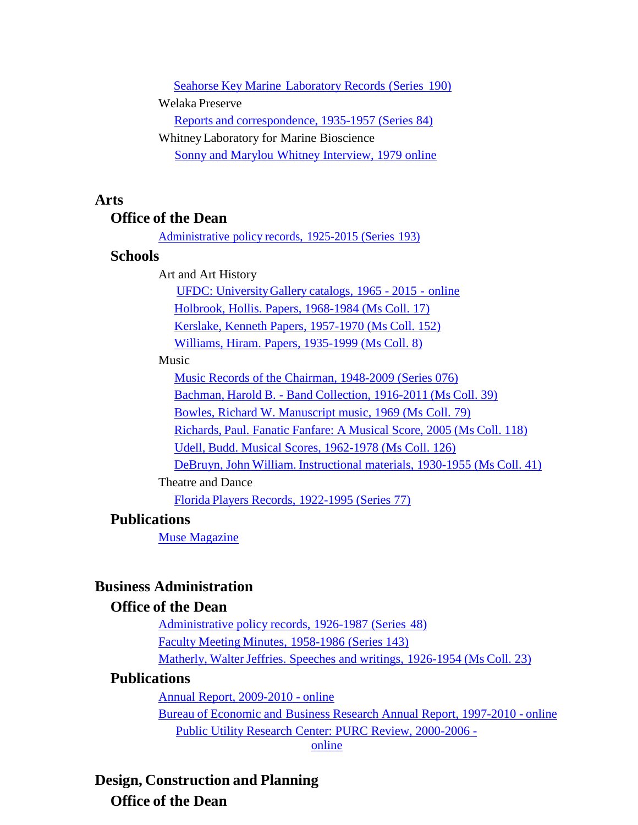Seahorse Key Marine [Laboratory](https://findingaids.uflib.ufl.edu/repositories/2/resources/1584) Records (Series 190) Welaka Preserve Reports and [correspondence, 1935-1957](https://findingaids.uflib.ufl.edu/repositories/2/resources/896) (Series 84) WhitneyLaboratory for Marine Bioscience Sonny [and Marylou](https://ufdc.ufl.edu/AA00052505/00001) Whitney Interview, 1979 online

### **Arts**

#### **Office of the Dean**

[Administrative](https://findingaids.uflib.ufl.edu/repositories/2/resources/1591) policy records, 1925-2015 (Series 193)

#### **Schools**

Art and Art History

UFDC: [UniversityGallery](https://ufdc.ufl.edu/universityarchives/ufartgalleries) catalogs, 1965 - 2015 - online

Holbrook, Hollis. [Papers, 1968-1984](https://findingaids.uflib.ufl.edu/repositories/2/resources/820) (Ms Coll. 17)

[Kerslake, Kenneth](https://findingaids.uflib.ufl.edu/repositories/2/resources/1695) Papers, 1957-1970 (Ms Coll. 152)

Williams, Hiram. [Papers, 1935-1999](https://findingaids.uflib.ufl.edu/repositories/2/resources/807) (Ms Coll. 8)

#### Music

[Music Records of the Chairman, 1948-2009 \(Series 076\)](https://findingaids.uflib.ufl.edu/repositories/2/resources/889)

Bachman, Harold B. - Band [Collection,](https://findingaids.uflib.ufl.edu/repositories/2/resources/1229) 1916-2011 (Ms Coll. 39)

Bowles, Richard W. [Manuscript music,](https://findingaids.uflib.ufl.edu/repositories/2/resources/1254) 1969 (Ms Coll. 79)

[Richards,](https://findingaids.uflib.ufl.edu/repositories/2/resources/1279) Paul. Fanatic Fanfare: A Musical Score, 2005 (Ms Coll. 118)

Udell, [Budd. Musical Scores, 1962-1978](https://findingaids.uflib.ufl.edu/repositories/2/resources/1295) (Ms Coll. 126)

DeBruyn, John William. [Instructional](https://findingaids.uflib.ufl.edu/repositories/2/resources/1222) materials, 1930-1955 (Ms Coll. 41)

#### Theatre and Dance

Florida Players Records, [1922-1995](https://findingaids.uflib.ufl.edu/repositories/2/resources/890) (Series 77)

# **Publications**

Muse [Magazine](https://ufdc.ufl.edu/UF00073862/00001)

# **Business Administration**

## **Office of the Dean**

[Administrative](https://findingaids.uflib.ufl.edu/repositories/2/resources/866) policy records, 1926-1987 (Series 48) Faculty Meeting Minutes, [1958-1986](https://findingaids.uflib.ufl.edu/repositories/2/resources/1007) (Series 143) Matherly, Walter Jeffries. Speeches and writings, [1926-1954](https://findingaids.uflib.ufl.edu/repositories/2/resources/1108) (Ms Coll. 23)

### **Publications**

Annual [Report, 2009-2010](https://ufdc.ufl.edu/UF00089849/00001) - online

Bureau of Economic and Business Research [Annual Report,](https://ufdc.ufl.edu/UF00091101/00001) 1997-2010 - online

[Public Utility Research Center: PURC Review, 2000-2006 -](https://ufdc.ufl.edu/UF00091019/00001)

[online](https://ufdc.ufl.edu/UF00091019/00001)

**Design, Construction and Planning Office of the Dean**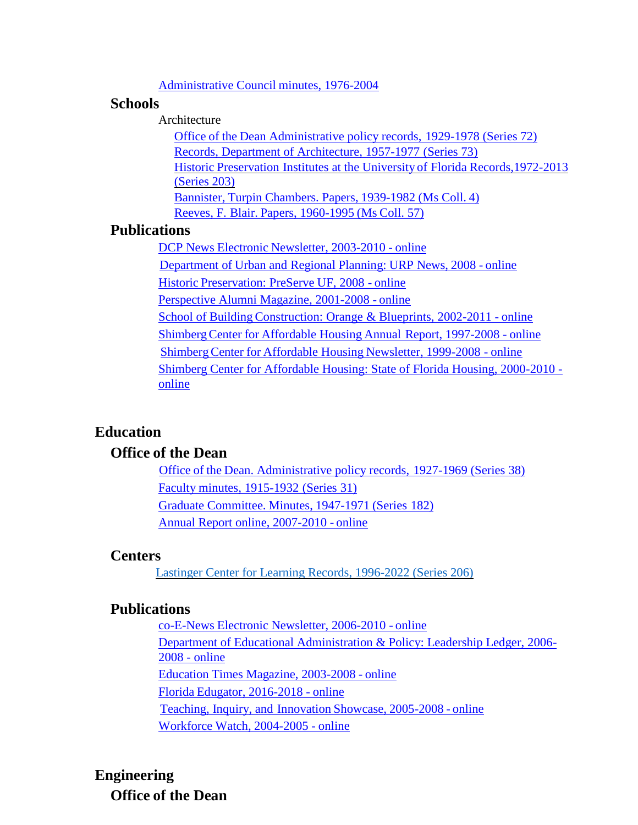#### [Administrative](https://findingaids.uflib.ufl.edu/repositories/2/resources/1035) Council minutes, 1976-2004

#### **Schools**

Architecture

Office of the Dean Administrative policy records, [1929-1978 \(Series 72\)](https://findingaids.uflib.ufl.edu/repositories/2/resources/876) Records, Department [of Architecture, 1957-1977](https://findingaids.uflib.ufl.edu/repositories/2/resources/911) (Series 73) Historic [Preservation](https://findingaids.uflib.ufl.edu/repositories/2/resources/1734) Institutes at the University of Florida Records[,1972-2013](https://findingaids.uflib.ufl.edu/repositories/2/resources/1734) [\(Series 203\)](https://findingaids.uflib.ufl.edu/repositories/2/resources/1734) Bannister, Turpin Chambers. Papers, [1939-1982](https://findingaids.uflib.ufl.edu/repositories/2/resources/1098) (Ms Coll. 4) Reeves, F. Blair. [Papers, 1960-1995](https://findingaids.uflib.ufl.edu/repositories/2/resources/1243) (Ms Coll. 57)

## **Publications**

DCP News Electronic [Newsletter,](https://ufdc.ufl.edu/UF00087048/00001) 2003-2010 - online Department of Urban and Regional Planning: [URP News,](https://ufdc.ufl.edu/UF00089085/00001) 2008 - online Historic [Preservation:](https://ufdc.ufl.edu/UF00089084/00001) PreServe UF, 2008 - online [Perspective](https://ufdc.ufl.edu/UF00076679/00001) Alumni Magazine, 2001-2008 - online School of Building [Construction:](https://ufdc.ufl.edu/UF00086628/00001) Orange & Blueprints, 2002-2011 - online ShimbergCenter for Affordable Housing Annual [Report, 1997-2008 -](https://ufdc.ufl.edu/UF00087014/00001) online ShimbergCenter for Affordable Housing [Newsletter, 1999-2008](https://ufdc.ufl.edu/UF00087009/00002) - online [Shimberg Center for Affordable Housing: State of Florida Housing, 2000-2010](https://ufdc.ufl.edu/UF00087010/00001)  [online](https://ufdc.ufl.edu/UF00087010/00001)

# **Education**

# **Office of the Dean**

Office of the Dean. [Administrative policy](https://findingaids.uflib.ufl.edu/repositories/2/resources/853) records, 1927-1969 (Series 38) Faculty minutes, [1915-1932](https://findingaids.uflib.ufl.edu/repositories/2/resources/833) (Series 31) Graduate [Committee.](https://findingaids.uflib.ufl.edu/repositories/2/resources/1038) Minutes, 1947-1971 (Series 182) Annual [Report online,](https://ufdc.ufl.edu/UF00091364/00001) 2007-2010 - online

#### **Centers**

Lastinger [Center for Learning Records, 1996-2022](https://findingaids.uflib.ufl.edu/repositories/2/resources/1772) (Series 206)

### **Publications**

co-E-News Electronic [Newsletter, 2006-2010](https://ufdc.ufl.edu/UF00086500/00001) - online [Department of Educational Administration & Policy: Leadership Ledger, 2006-](https://ufdc.ufl.edu/UF00091020/00001) [2008 -](https://ufdc.ufl.edu/UF00091020/00001) online Education [Times Magazine,](https://ufdc.ufl.edu/UF00076670/00001) 2003-2008 - online Florida Edugator, [2016-2018](https://education.ufl.edu/etc/publications/) - online Teaching, Inquiry, and Innovation Showcase, [2005-2008](https://ufdc.ufl.edu/UF00090861/00001) - online Workforce Watch, [2004-2005](https://ufdc.ufl.edu/UF00090862/00001) - online

# **Engineering Office of the Dean**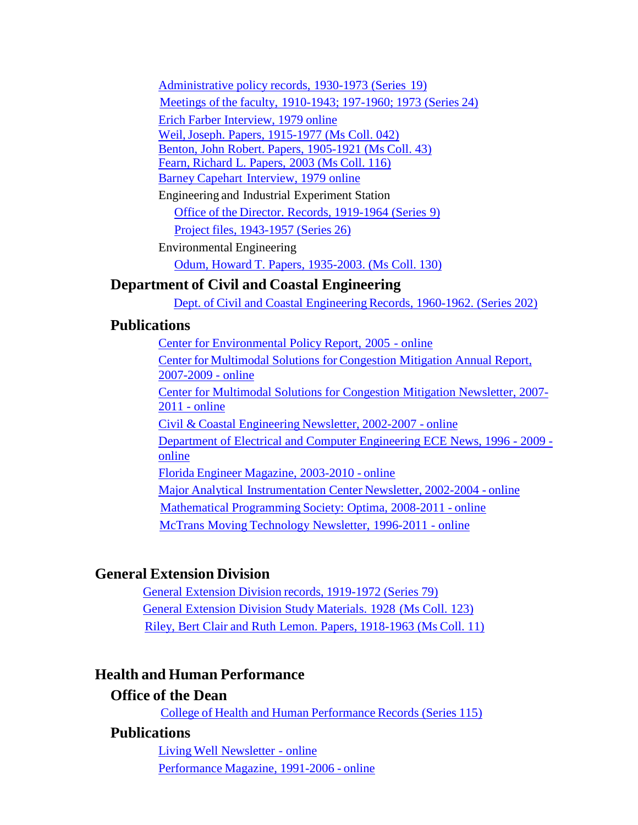[Administrative](https://findingaids.uflib.ufl.edu/repositories/2/resources/822) policy records, 1930-1973 (Series 19) Meetings of the faculty, [1910-1943;](https://findingaids.uflib.ufl.edu/repositories/2/resources/836) 197-1960; 1973 (Series 24) Erich Farber [Interview,](https://ufdc.ufl.edu/AA00052500/00001) 1979 online [Weil,Joseph. Papers, 1915-1977 \(Ms](https://findingaids.uflib.ufl.edu/repositories/2/resources/1230) Coll. 042) Benton, John Robert. Papers, [1905-1921](https://findingaids.uflib.ufl.edu/repositories/2/resources/1231) (Ms Coll. 43) Fearn, [Richard](https://findingaids.uflib.ufl.edu/repositories/2/resources/1275) L. Papers, 2003 (Ms Coll. 116) Barney Capehart [Interview,](https://ufdc.ufl.edu/AA00052508/00001) 1979 online

Engineering and Industrial Experiment Station Office of the [Director. Records,](https://findingaids.uflib.ufl.edu/repositories/2/resources/808) 1919-1964 (Series 9) Project files, [1943-1957](https://findingaids.uflib.ufl.edu/repositories/2/resources/830) (Series 26)

Environmental Engineering

Odum, Howard T. Papers, [1935-2003.](https://findingaids.uflib.ufl.edu/repositories/2/resources/1304) (Ms Coll. 130)

# **Department of Civil and Coastal Engineering**

Dept. of Civil and Coastal [Engineering](https://findingaids.uflib.ufl.edu/repositories/2/resources/1731) Records, 1960-1962. (Series 202)

# **Publications**

Center for [Environmental](https://ufdc.ufl.edu/UF00091049/00001) Policy Report, 2005 - online Center for Multimodal Solutions for [Congestion Mitigation](https://ufdc.ufl.edu/UF00087016/00001) Annual Report, [2007-2009](https://ufdc.ufl.edu/UF00087016/00001) - online [Center for Multimodal Solutions for Congestion Mitigation Newsletter, 2007-](https://ufdc.ufl.edu/UF00087017/00001) [2011 -](https://ufdc.ufl.edu/UF00087017/00001) online Civil & Coastal Engineering Newsletter, [2002-2007 -](https://ufdc.ufl.edu/UF00090039/00001) online [Department of Electrical and Computer Engineering ECE News, 1996 -](https://ufdc.ufl.edu/UF00091053/00001) 2009 [online](https://ufdc.ufl.edu/UF00091053/00001) Florida Engineer Magazine, [2003-2010 -](https://ufdc.ufl.edu/UF00076208/00017) online Major Analytical [Instrumentation](https://ufdc.ufl.edu/UF00091100/00001) Center Newsletter, 2002-2004 - online Mathematical [Programming](https://ufdc.ufl.edu/UF00090046/00001) Society: Optima, 2008-2011 - online McTrans Moving [Technology](https://ufdc.ufl.edu/UF00078185/00001) Newsletter, 1996-2011 - online

# **General Extension Division**

General Extension Division records, [1919-1972](https://findingaids.uflib.ufl.edu/repositories/2/resources/892) (Series 79) General [Extension Division Study](https://findingaids.uflib.ufl.edu/repositories/2/resources/1374) Materials. 1928 (Ms Coll. 123) Riley, Bert Clair and Ruth Lemon. Papers, [1918-1963](https://findingaids.uflib.ufl.edu/repositories/2/resources/1101) (Ms Coll. 11)

# **Health and Human Performance**

# **Office of the Dean**

College of Health and Human [Performance](https://findingaids.uflib.ufl.edu/repositories/2/resources/1678) Records (Series 115)

# **Publications**

Living Well [Newsletter](https://ufdc.ufl.edu/UF00087248/00001) - online [Performance](https://ufdc.ufl.edu/UF00076674/00001) Magazine, 1991-2006 - online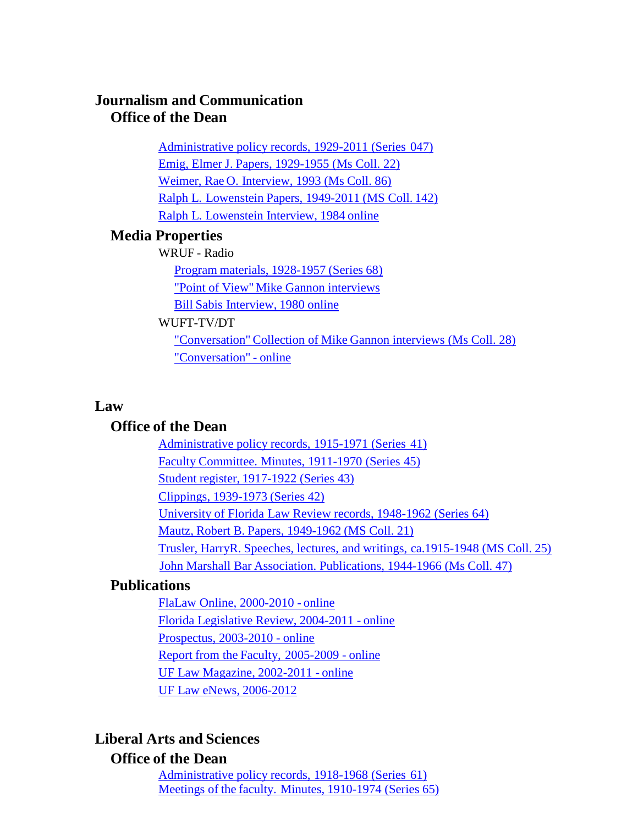# **Journalism and Communication Office of the Dean**

[Administrative](https://findingaids.uflib.ufl.edu/repositories/2/resources/865) policy records, 1929-2011 (Series 047) Emig, Elmer J. Papers, [1929-1955](https://findingaids.uflib.ufl.edu/repositories/2/resources/1107) (Ms Coll. 22) Weimer, Rae O. [Interview, 1993 \(Ms](https://findingaids.uflib.ufl.edu/repositories/2/resources/1260) Coll. 86) Ralph L. Lowenstein [Papers, 1949-2011](https://findingaids.uflib.ufl.edu/repositories/2/resources/1549) (MS Coll. 142) Ralph L. [Lowenstein](https://ufdc.ufl.edu/AA00052537/00001) Interview, 1984 online

# **Media Properties**

WRUF - Radio

Program materials, [1928-1957](https://findingaids.uflib.ufl.edu/repositories/2/resources/1417) (Series 68) "Point of View" [Mike Gannon](https://ufdc.ufl.edu/universityarchives/info/sound) interviews Bill Sabis [Interview,](https://ufdc.ufl.edu/AA00052510/00001) 1980 online

#### WUFT-TV/DT

"Conversation" Collection of Mike [Gannon interviews](https://findingaids.uflib.ufl.edu/repositories/2/resources/1064) (Ms Coll. 28) ["Conversation"](https://ufdc.ufl.edu/gannon/all) - online

#### **Law**

# **Office of the Dean**

[Administrative](https://findingaids.uflib.ufl.edu/repositories/2/resources/861) policy records, 1915-1971 (Series 41) Faculty [Committee.](https://findingaids.uflib.ufl.edu/repositories/2/resources/858) Minutes, 1911-1970 (Series 45) Student register, [1917-1922](https://findingaids.uflib.ufl.edu/repositories/2/resources/863) (Series 43) Clippings, [1939-1973](https://findingaids.uflib.ufl.edu/repositories/2/resources/862) (Series 42) University of Florida Law Review records, [1948-1962 \(Series](https://findingaids.uflib.ufl.edu/repositories/2/resources/881) 64) Mautz, Robert B. Papers, [1949-1962](https://findingaids.uflib.ufl.edu/repositories/2/resources/1106) (MS Coll. 21) Trusler, HarryR. Speeches, lectures, and writings, [ca.1915-1948](https://findingaids.uflib.ufl.edu/repositories/2/resources/1093) (MS Coll. 25) John Marshall Bar Association. [Publications,](https://findingaids.uflib.ufl.edu/repositories/2/resources/1315) 1944-1966 (Ms Coll. 47)

# **Publications**

FlaLaw [Online, 2000-2010](https://ufdc.ufl.edu/UF00072281/00001) - online Florida [Legislative Review,](https://ufdc.ufl.edu/UF00088827/00001) 2004-2011 - online [Prospectus,](https://ufdc.ufl.edu/UF00090518/00001) 2003-2010 - online Report from the Faculty, [2005-2009](https://ufdc.ufl.edu/UF00090517/00001) - online UF Law Magazine, [2002-2011](https://ufdc.ufl.edu/UF00072634/00001) - online UF Law eNews, [2006-2012](http://info.uff.ufl.edu/Law/Newsletter/)

# **Liberal Arts and Sciences**

# **Office of the Dean**

[Administrative](https://findingaids.uflib.ufl.edu/repositories/2/resources/874) policy records, 1918-1968 (Series 61) [Meetings of](https://findingaids.uflib.ufl.edu/repositories/2/resources/882) the faculty. Minutes, 1910-1974 (Series 65)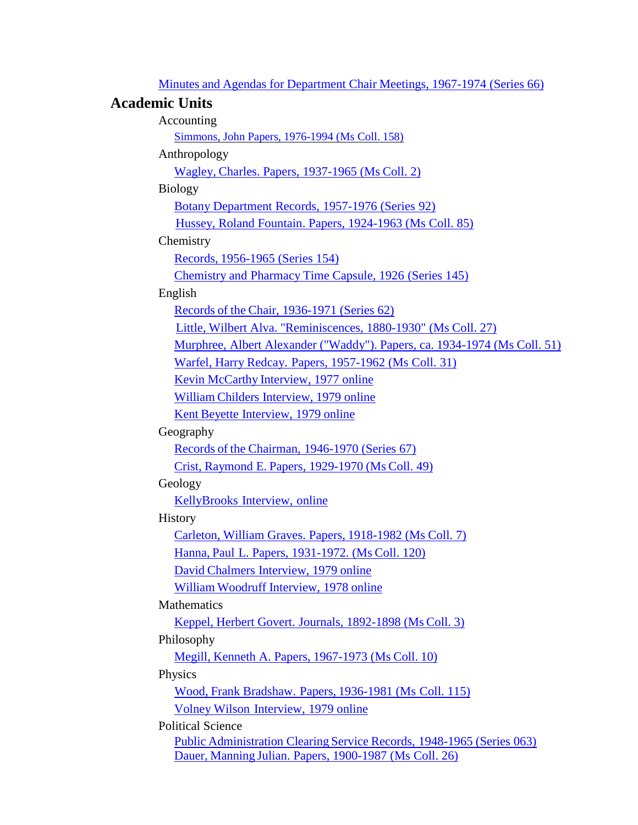Minutes and Agendas for Department Chair [Meetings, 1967-1974](https://findingaids.uflib.ufl.edu/repositories/2/resources/883) (Series 66)

# **Academic Units**

| Accounting                                                                    |
|-------------------------------------------------------------------------------|
| Simmons, John Papers, 1976-1994 (Ms Coll. 158)                                |
| Anthropology                                                                  |
| Wagley, Charles. Papers, 1937-1965 (Ms Coll. 2)                               |
| Biology                                                                       |
| Botany Department Records, 1957-1976 (Series 92)                              |
| Hussey, Roland Fountain. Papers, 1924-1963 (Ms Coll. 85)                      |
| Chemistry                                                                     |
| Records, 1956-1965 (Series 154)                                               |
| <b>Chemistry and Pharmacy Time Capsule, 1926 (Series 145)</b>                 |
| English                                                                       |
| Records of the Chair, 1936-1971 (Series 62)                                   |
| Little, Wilbert Alva. "Reminiscences, 1880-1930" (Ms Coll. 27)                |
| Murphree, Albert Alexander ("Waddy"). Papers, ca. 1934-1974 (Ms Coll. 51)     |
| Warfel, Harry Redcay. Papers, 1957-1962 (Ms Coll. 31)                         |
| Kevin McCarthy Interview, 1977 online                                         |
| William Childers Interview, 1979 online                                       |
| Kent Beyette Interview, 1979 online                                           |
| Geography                                                                     |
| Records of the Chairman, 1946-1970 (Series 67)                                |
| Crist, Raymond E. Papers, 1929-1970 (Ms Coll. 49)                             |
| Geology                                                                       |
| KellyBrooks Interview, online                                                 |
| History                                                                       |
| Carleton, William Graves. Papers, 1918-1982 (Ms Coll. 7)                      |
| Hanna, Paul L. Papers, 1931-1972. (Ms Coll. 120)                              |
| David Chalmers Interview, 1979 online                                         |
| William Woodruff Interview, 1978 online                                       |
| Mathematics                                                                   |
| Keppel, Herbert Govert. Journals, 1892-1898 (Ms Coll. 3)                      |
| Philosophy                                                                    |
| Megill, Kenneth A. Papers, 1967-1973 (Ms Coll. 10)                            |
| Physics                                                                       |
| Wood, Frank Bradshaw. Papers, 1936-1981 (Ms Coll. 115)                        |
| Volney Wilson Interview, 1979 online                                          |
| <b>Political Science</b>                                                      |
| <b>Public Administration Clearing Service Records, 1948-1965 (Series 063)</b> |

Dauer, Manning Julian. Papers, [1900-1987](https://findingaids.uflib.ufl.edu/repositories/2/resources/1094) (Ms Coll. 26)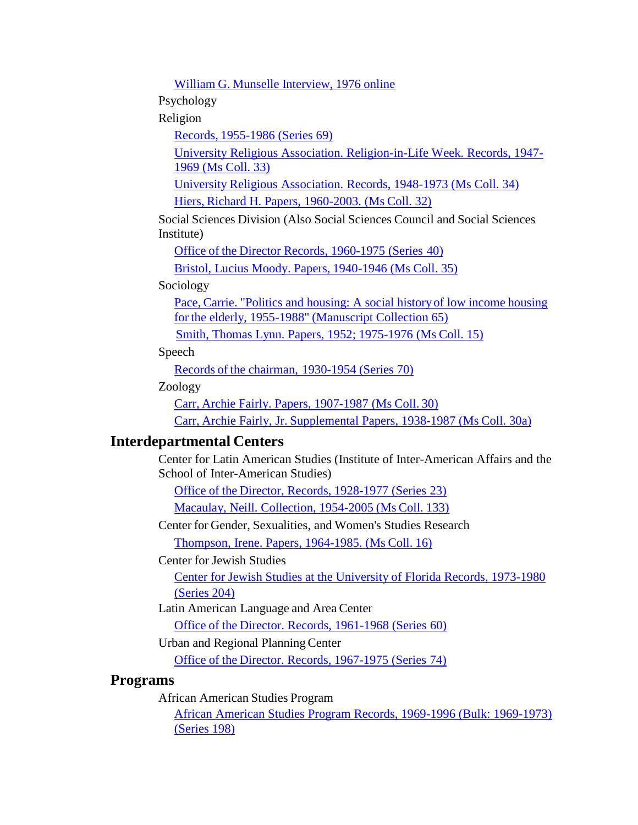William G. Munselle [Interview,](https://ufdc.ufl.edu/AA00052494/00001) 1976 online

Psychology

Religion

Records, [1955-1986](https://findingaids.uflib.ufl.edu/repositories/2/resources/885) (Series 69)

[University Religious Association. Religion-in-Life Week. Records, 1947-](https://findingaids.uflib.ufl.edu/repositories/2/resources/1312) 1969 [\(Ms Coll. 33\)](https://findingaids.uflib.ufl.edu/repositories/2/resources/1312)

University Religious Association. Records, [1948-1973 \(Ms](https://findingaids.uflib.ufl.edu/repositories/2/resources/1313) Coll. 34)

Hiers, Richard H. [Papers, 1960-2003.](https://findingaids.uflib.ufl.edu/repositories/2/resources/1224) (Ms Coll. 32)

Social Sciences Division (Also Social Sciences Council and Social Sciences Institute)

Office of the Director Records, [1960-1975](https://findingaids.uflib.ufl.edu/repositories/2/resources/855) (Series 40)

[Bristol, Lucius Moody.](https://findingaids.uflib.ufl.edu/repositories/2/resources/1225) Papers, 1940-1946 (Ms Coll. 35)

#### Sociology

Pace, Carrie. "Politics and housing: A [social historyof](https://findingaids.uflib.ufl.edu/repositories/2/resources/1246) low income housing for the elderly, 1955-1988" [\(Manuscript Collection 65\)](https://findingaids.uflib.ufl.edu/repositories/2/resources/1246)

Smith, Thomas Lynn. Papers, 1952; [1975-1976](https://findingaids.uflib.ufl.edu/repositories/2/resources/1103) (Ms Coll. 15)

Speech

Records of the chairman, [1930-1954](https://findingaids.uflib.ufl.edu/repositories/2/resources/886) (Series 70)

Zoology

Carr, [Archie Fairly. Papers,](https://findingaids.uflib.ufl.edu/repositories/2/resources/1124) 1907-1987 (Ms Coll. 30)

Carr, Archie Fairly, Jr. [Supplemental](https://findingaids.uflib.ufl.edu/repositories/2/resources/1125) Papers, 1938-1987 (Ms Coll. 30a)

### **Interdepartmental Centers**

Center for Latin American Studies (Institute of Inter-American Affairs and the School of Inter-American Studies)

Office of the [Director, Records,](https://findingaids.uflib.ufl.edu/repositories/2/resources/1675) 1928-1977 (Series 23)

Macaulay, Neill. [Collection, 1954-2005](https://findingaids.uflib.ufl.edu/repositories/2/resources/1305) (Ms Coll. 133)

Center for Gender, Sexualities, and Women's Studies Research

[Thompson, Irene.](https://findingaids.uflib.ufl.edu/repositories/2/resources/1104) Papers, 1964-1985. (Ms Coll. 16)

Center for Jewish Studies

Center for Jewish Studies at the University of Florida [Records, 1973-1980](https://findingaids.uflib.ufl.edu/repositories/2/resources/1761) [\(Series](https://findingaids.uflib.ufl.edu/repositories/2/resources/1761) 204)

Latin American Language and Area Center

Office of the Director. Records, [1961-1968](https://findingaids.uflib.ufl.edu/repositories/2/resources/873) (Series 60)

Urban and Regional PlanningCenter

Office of the [Director. Records,](https://findingaids.uflib.ufl.edu/repositories/2/resources/912) 1967-1975 (Series 74)

#### **Programs**

African American Studies Program

[African American Studies Program Records, 1969-1996 \(Bulk: 1969-1973\)](https://findingaids.uflib.ufl.edu/repositories/2/resources/1670) [\(Series](https://findingaids.uflib.ufl.edu/repositories/2/resources/1670) 198)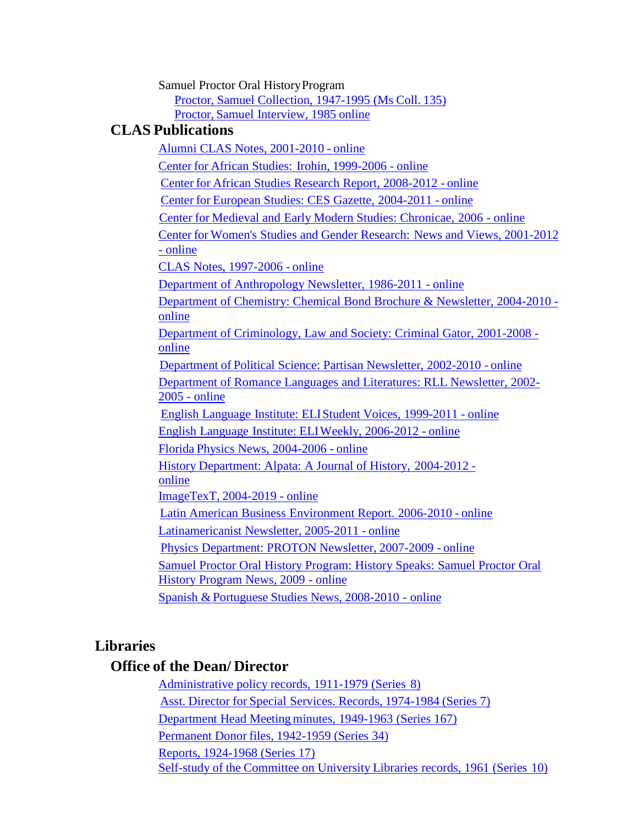Samuel Proctor Oral HistoryProgram

Proctor, Samuel [Collection,](https://findingaids.uflib.ufl.edu/repositories/2/resources/1460) 1947-1995 (Ms Coll. 135) Proctor, Samuel [Interview,](https://ufdc.ufl.edu/AA00052555/00001) 1985 online

# **CLAS Publications**

Alumni CLAS Notes, [2001-2010](https://ufdc.ufl.edu/UF00073686/00026) - online Center for [African Studies:](https://ufdc.ufl.edu/UF00075548/00009) Irohin, 1999-2006 - online Center for African Studies Research Report, [2008-2012](https://ufdc.ufl.edu/AA00001494/00001) - online Center for [European Studies:](https://ufdc.ufl.edu/UF00086424/00001) CES Gazette, 2004-2011 - online Center for Medieval and Early Modern [Studies: Chronicae,](https://ufdc.ufl.edu/UF00090044/00001) 2006 - online Center for Women's Studies and Gender Research: News and Views, [2001-2012](https://ufdc.ufl.edu/UF00088892/00001) - [online](https://ufdc.ufl.edu/UF00088892/00001) CLAS Notes, [1997-2006](https://ufdc.ufl.edu/UF00073682/00100) - online Department of [Anthropology](https://ufdc.ufl.edu/UF00083823/00001) Newsletter, 1986-2011 - online [Department of Chemistry: Chemical Bond Brochure & Newsletter, 2004-2010](https://ufdc.ufl.edu/UF00090512/00001)  [online](https://ufdc.ufl.edu/UF00090512/00001) [Department of Criminology, Law and Society: Criminal Gator, 2001-2008](https://ufdc.ufl.edu/UF00086457/00001)  [online](https://ufdc.ufl.edu/UF00086457/00001) Department of Political Science: Partisan [Newsletter, 2002-2010](https://ufdc.ufl.edu/UF00090516/00001) - online [Department of Romance Languages and Literatures: RLL Newsletter, 2002-](https://ufdc.ufl.edu/UF00086499/00001) [2005 -](https://ufdc.ufl.edu/UF00086499/00001) online English Language Institute: [ELIStudent](https://ufdc.ufl.edu/UF00089997/00001) Voices, 1999-2011 - online English Language Institute: [ELIWeekly,](https://ufdc.ufl.edu/UF00089998/00001) 2006-2012 - online Florida [Physics News,](https://ufdc.ufl.edu/UF00086456/00001) 2004-2006 - online History [Department: Alpata:](https://ufdc.ufl.edu/UF00090930/00001) A Journal of History, 2004-2012 [online](https://ufdc.ufl.edu/UF00090930/00001) [ImageTexT,](http://imagetext.english.ufl.edu/) 2004-2019 - online Latin American Business [Environment](https://ufdc.ufl.edu/UF00080531/00001) Report. 2006-2010 - online [Latinamericanist](https://ufdc.ufl.edu/UF00066464/00001) Newsletter, 2005-2011 - online Physics [Department:](https://ufdc.ufl.edu/UF00086455/00001) PROTON Newsletter, 2007-2009 - online Samuel Proctor Oral History [Program:](https://ufdc.ufl.edu/UF00091055/00001) History Speaks: Samuel Proctor Oral History Program [News, 2009](https://ufdc.ufl.edu/UF00091055/00001) - online Spanish & Portuguese [Studies News,](https://ufdc.ufl.edu/UF00090924/00001) 2008-2010 - online

# **Libraries**

# **Office of the Dean/ Director**

[Administrative](https://findingaids.uflib.ufl.edu/repositories/2/resources/807) policy records, 1911-1979 (Series 8) Asst. Director for Special Services. Records, [1974-1984](https://findingaids.uflib.ufl.edu/repositories/2/resources/810) (Series 7) Department Head Meeting minutes, 1949-1963 [\(Series 167\)](https://findingaids.uflib.ufl.edu/repositories/2/resources/1027) Permanent Donor files, [1942-1959](https://findingaids.uflib.ufl.edu/repositories/2/resources/850) (Series 34) Reports, [1924-1968](https://findingaids.uflib.ufl.edu/repositories/2/resources/820) (Series 17) Self-study of the [Committee](https://findingaids.uflib.ufl.edu/repositories/2/resources/809) on University Libraries records, 1961 (Series 10)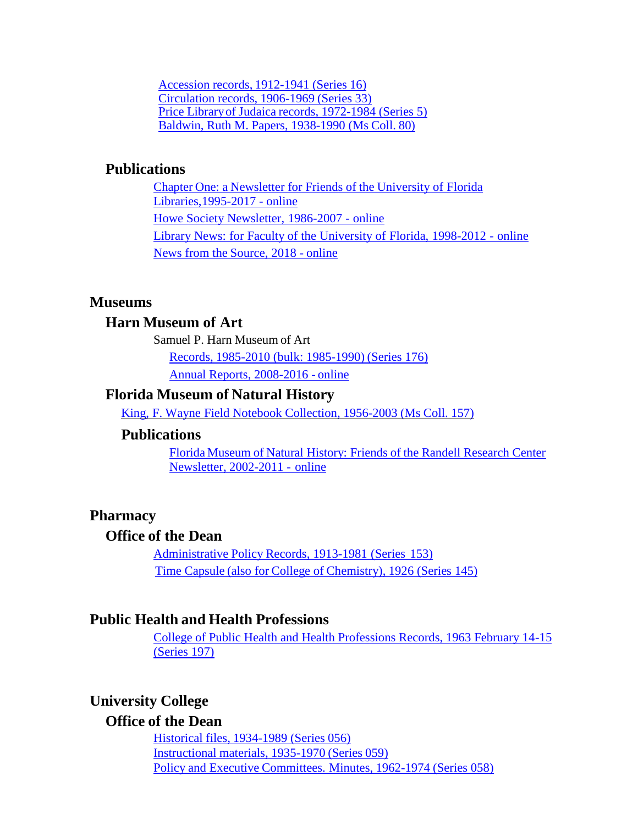Accession records, [1912-1941](https://findingaids.uflib.ufl.edu/repositories/2/resources/819) (Series 16) [Circulation](https://findingaids.uflib.ufl.edu/repositories/2/resources/852) records, 1906-1969 (Series 33) Price Libraryof Judaica records, [1972-1984 \(Series](https://findingaids.uflib.ufl.edu/repositories/2/resources/805) 5) Baldwin, Ruth M. Papers, [1938-1990](https://findingaids.uflib.ufl.edu/repositories/2/resources/1247) (Ms Coll. 80)

### **Publications**

Chapter One: a [Newsletter for](https://ufdc.ufl.edu/UF00017068/00001) Friends of the University of Florida [Libraries,1995-2017](https://ufdc.ufl.edu/UF00017068/00001) - online Howe Society [Newsletter,](https://ufdc.ufl.edu/UF00017113/00001) 1986-2007 - online Library News: for Faculty of the University of Florida, [1998-2012](https://ufdc.ufl.edu/UF00017067/00001) - online News from the [Source, 2018 -](https://ufdc.ufl.edu/IR00010471/00001) online

# **Museums**

## **Harn Museum of Art**

Samuel P. Harn Museum of Art

Records, [1985-2010 \(bulk:](https://findingaids.uflib.ufl.edu/repositories/2/resources/1037) 1985-1990) (Series 176)

Annual [Reports, 2008-2016](http://www.harn.ufl.edu/publications) - online

#### **Florida Museum of Natural History**

King, F. Wayne Field Notebook [Collection,](https://findingaids.uflib.ufl.edu/repositories/2/resources/1754) 1956-2003 (Ms Coll. 157)

#### **Publications**

Florida Museum of Natural History: Friends of the Randell [Research Center](https://ufdc.ufl.edu/UF00090510/00001) Newsletter, [2002-2011 -](https://ufdc.ufl.edu/UF00090510/00001) online

#### **Pharmacy**

# **Office of the Dean**

[Administrative](https://findingaids.uflib.ufl.edu/repositories/2/resources/999) Policy Records, 1913-1981 (Series 153) Time Capsule (also for College of [Chemistry\),](https://findingaids.uflib.ufl.edu/repositories/2/resources/1009) 1926 (Series 145)

#### **Public Health and Health Professions**

[College of Public Health and Health Professions Records, 1963 February 14-15](https://findingaids.uflib.ufl.edu/repositories/2/resources/1666) [\(Series](https://findingaids.uflib.ufl.edu/repositories/2/resources/1666) 197)

# **University College**

## **Office of the Dean**

Historical files, [1934-1989](https://findingaids.uflib.ufl.edu/repositories/2/resources/872) (Series 056) [Instructional](https://findingaids.uflib.ufl.edu/repositories/2/resources/878) materials, 1935-1970 (Series 059) Policy and Executive [Committees.](https://findingaids.uflib.ufl.edu/repositories/2/resources/877) Minutes, 1962-1974 (Series 058)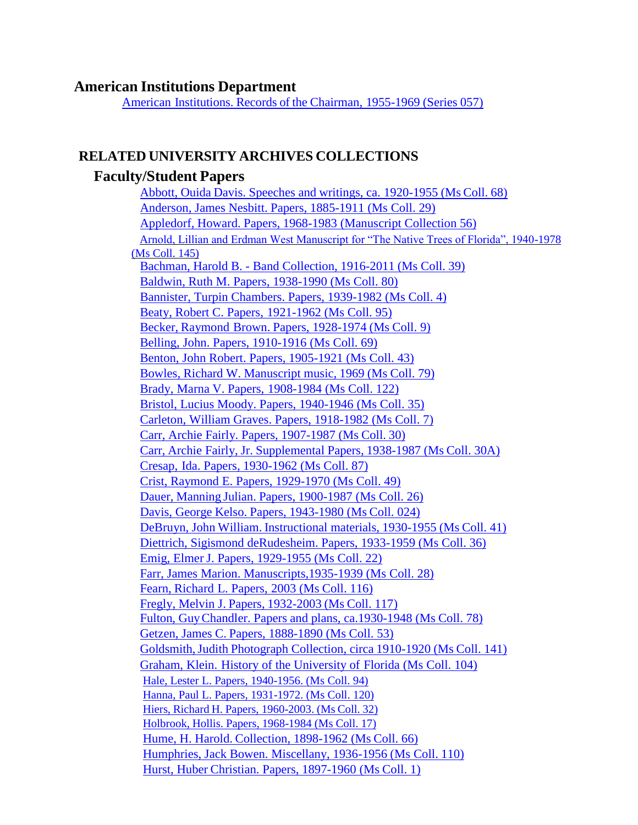#### **American Institutions Department**

American [Institutions.](https://findingaids.uflib.ufl.edu/repositories/2/resources/860) Records of the Chairman, 1955-1969 (Series 057)

#### **RELATED UNIVERSITY ARCHIVES COLLECTIONS**

## **Faculty/Student Papers**

Abbott, Ouida Davis. Speeches and writings, ca. [1920-1955](https://findingaids.uflib.ufl.edu/repositories/2/resources/1240) (Ms Coll. 68) Anderson, James Nesbitt. [Papers, 1885-1911](https://findingaids.uflib.ufl.edu/repositories/2/resources/1123) (Ms Coll. 29) Appledorf, Howard. Papers, 1968-1983 [\(Manuscript Collection](https://findingaids.uflib.ufl.edu/repositories/2/resources/1237) 56) [Arnold, Lillian and Erdman West Manuscript for "The Native Trees of Florida", 1940-1978](https://findingaids.uflib.ufl.edu/repositories/2/resources/1602) [\(Ms Coll. 145\)](https://findingaids.uflib.ufl.edu/repositories/2/resources/1602) Bachman, Harold B. - Band [Collection,](https://findingaids.uflib.ufl.edu/repositories/2/resources/1229) 1916-2011 (Ms Coll. 39) [Baldwin, Ruth M. Papers, 1938-1990 \(Ms Coll. 80\)](https://findingaids.uflib.ufl.edu/repositories/2/resources/1247) [Bannister, Turpin Chambers. Papers, 1939-1982 \(Ms Coll. 4\)](https://findingaids.uflib.ufl.edu/repositories/2/resources/1098) Beaty, [Robert C. Papers,](https://findingaids.uflib.ufl.edu/repositories/2/resources/1258) 1921-1962 (Ms Coll. 95) Becker, Raymond Brown. Papers, [1928-1974](https://findingaids.uflib.ufl.edu/repositories/2/resources/1090) (Ms Coll. 9) Belling, [John. Papers, 1910-1916](https://findingaids.uflib.ufl.edu/repositories/2/resources/1241) (Ms Coll. 69) [Benton, John Robert. Papers, 1905-1921 \(Ms Coll. 43\)](https://findingaids.uflib.ufl.edu/repositories/2/resources/1231) Bowles, Richard W. [Manuscript](https://findingaids.uflib.ufl.edu/repositories/2/resources/1254) music, 1969 (Ms Coll. 79) Brady, Marna V. Papers, [1908-1984 \(Ms](https://findingaids.uflib.ufl.edu/repositories/2/resources/1293) Coll. 122) [Bristol, Lucius Moody. Papers, 1940-1946 \(Ms](https://findingaids.uflib.ufl.edu/repositories/2/resources/1225) Coll. 35) [Carleton, William Graves. Papers, 1918-1982 \(Ms Coll. 7\)](https://findingaids.uflib.ufl.edu/repositories/2/resources/1099) Carr, [Archie Fairly. Papers,](https://findingaids.uflib.ufl.edu/repositories/2/resources/1124) 1907-1987 (Ms Coll. 30) Carr, Archie Fairly, Jr. [Supplemental](https://findingaids.uflib.ufl.edu/repositories/2/resources/1125) Papers, 1938-1987 (Ms Coll. 30A) Cresap, Ida. Papers, [1930-1962 \(Ms Coll.](https://findingaids.uflib.ufl.edu/repositories/2/resources/1261) 87) [Crist, Raymond E. Papers, 1929-1970 \(Ms Coll. 49\)](https://findingaids.uflib.ufl.edu/repositories/2/resources/1232) Dauer, Manning Julian. Papers, [1900-1987](https://findingaids.uflib.ufl.edu/repositories/2/resources/1094) (Ms Coll. 26) Davis, George Kelso. Papers, [1943-1980](https://findingaids.uflib.ufl.edu/repositories/2/resources/1092) (Ms Coll. 024) DeBruyn, John William. [Instructional](https://findingaids.uflib.ufl.edu/repositories/2/resources/1222) materials, 1930-1955 (Ms Coll. 41) [Diettrich, Sigismond deRudesheim. Papers, 1933-1959 \(Ms Coll. 36\)](https://findingaids.uflib.ufl.edu/repositories/2/resources/1226) Emig, Elmer [J. Papers, 1929-1955 \(Ms Coll. 22\)](https://findingaids.uflib.ufl.edu/repositories/2/resources/1107) [Farr, James Marion. Manuscripts,1935-1939 \(Ms Coll. 28\)](https://findingaids.uflib.ufl.edu/repositories/2/resources/1122) Fearn, Richard L. Papers, 2003 (Ms [Coll. 116\)](https://findingaids.uflib.ufl.edu/repositories/2/resources/1275) Fregly, Melvin J. Papers, [1932-2003](https://findingaids.uflib.ufl.edu/repositories/2/resources/1278) (Ms Coll. 117) Fulton, [GuyChandler. Papers](https://findingaids.uflib.ufl.edu/repositories/2/resources/1253) and plans, ca.1930-1948 (Ms Coll. 78) Getzen, James C. [Papers, 1888-1890 \(Ms](https://findingaids.uflib.ufl.edu/repositories/2/resources/1235) Coll. 53) [Goldsmith,Judith](https://findingaids.uflib.ufl.edu/repositories/2/resources/1544) Photograph Collection, circa 1910-1920 (Ms Coll. 141) Graham, Klein. History of the [University](https://findingaids.uflib.ufl.edu/repositories/2/resources/1276) of Florida (Ms Coll. 104) [Hale, Lester L. Papers, 1940-1956. \(Ms Coll. 94\)](https://findingaids.uflib.ufl.edu/repositories/2/resources/1257) [Hanna, Paul L. Papers, 1931-1972. \(Ms Coll. 120\)](https://findingaids.uflib.ufl.edu/repositories/2/resources/1280) Hiers, Richard H. [Papers, 1960-2003.](https://findingaids.uflib.ufl.edu/repositories/2/resources/1224) (Ms Coll. 32) Holbrook, Hollis. Papers, [1968-1984](https://findingaids.uflib.ufl.edu/repositories/2/resources/1105) (Ms Coll. 17) Hume, H. Harold. [Collection, 1898-1962](https://findingaids.uflib.ufl.edu/repositories/2/resources/1238) (Ms Coll. 66) Humphries, Jack [Bowen. Miscellany, 1936-1956](https://findingaids.uflib.ufl.edu/repositories/2/resources/1273) (Ms Coll. 110) Hurst, Huber Christian. [Papers, 1897-1960](https://findingaids.uflib.ufl.edu/repositories/2/resources/1095) (Ms Coll. 1)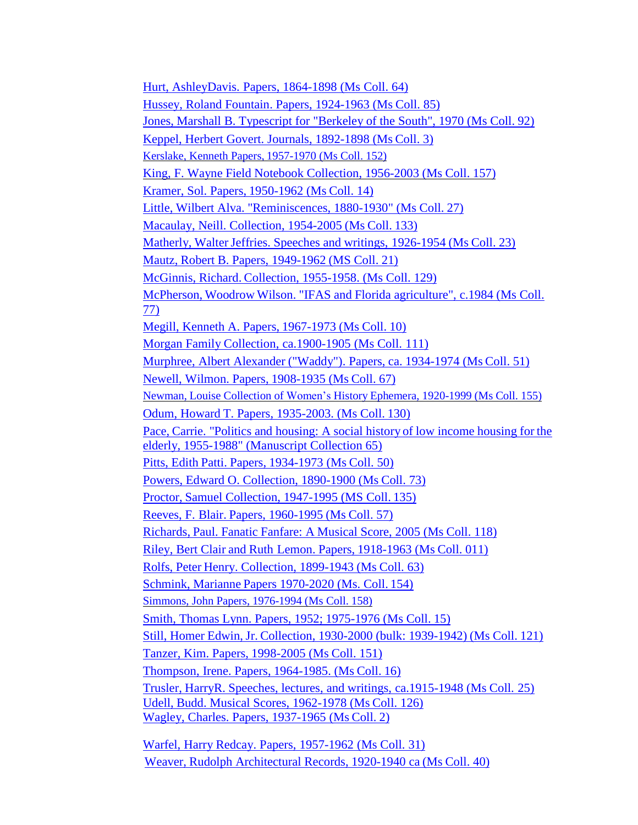Hurt, [AshleyDavis.](https://findingaids.uflib.ufl.edu/repositories/2/resources/1245) Papers, 1864-1898 (Ms Coll. 64) Hussey, Roland Fountain. Papers, [1924-1963](https://findingaids.uflib.ufl.edu/repositories/2/resources/1259) (Ms Coll. 85) Jones, [Marshall B.](https://findingaids.uflib.ufl.edu/repositories/2/resources/1255) Typescript for "Berkeley of the South", 1970 (Ms Coll. 92) Keppel, Herbert Govert. [Journals, 1892-1898 \(Ms](https://findingaids.uflib.ufl.edu/repositories/2/resources/1097) Coll. 3) Kerslake, [Kenneth Papers,](https://findingaids.uflib.ufl.edu/repositories/2/resources/1695) 1957-1970 (Ms Coll. 152) King, F. Wayne Field Notebook [Collection,](https://findingaids.uflib.ufl.edu/repositories/2/resources/1754) 1956-2003 (Ms Coll. 157) Kramer, Sol. Papers, [1950-1962](https://findingaids.uflib.ufl.edu/repositories/2/resources/1102) (Ms Coll. 14) Little, Wilbert Alva. ["Reminiscences, 1880-1930"](https://findingaids.uflib.ufl.edu/repositories/2/resources/1121) (Ms Coll. 27) Macaulay, Neill. [Collection, 1954-2005](https://findingaids.uflib.ufl.edu/repositories/2/resources/1305) (Ms Coll. 133) Matherly, Walter Jeffries. Speeches and writings, 1926-1954 (Ms Coll. 23) Mautz, Robert B. Papers, [1949-1962](https://findingaids.uflib.ufl.edu/repositories/2/resources/1106) (MS Coll. 21) McGinnis, Richard. [Collection, 1955-1958.](https://findingaids.uflib.ufl.edu/repositories/2/resources/1303) (Ms Coll. 129) McPherson, Woodrow Wilson. "IFAS and [Florida agriculture",](https://findingaids.uflib.ufl.edu/repositories/2/resources/1252) c.1984 (Ms Coll. [77\)](https://findingaids.uflib.ufl.edu/repositories/2/resources/1252) Megill, Kenneth A. Papers, [1967-1973](https://findingaids.uflib.ufl.edu/repositories/2/resources/1091) (Ms Coll. 10) Morgan Family Collection, [ca.1900-1905](https://findingaids.uflib.ufl.edu/repositories/2/resources/1307) (Ms Coll. 111) Murphree, Albert Alexander [\("Waddy"\).](https://findingaids.uflib.ufl.edu/repositories/2/resources/1234) Papers, ca. 1934-1974 (Ms Coll. 51) Newell, Wilmon. Papers, [1908-1935](https://findingaids.uflib.ufl.edu/repositories/2/resources/1239) (Ms Coll. 67) Newman, Louise Collection of Women's History Ephemera, [1920-1999](https://findingaids.uflib.ufl.edu/repositories/2/resources/1741) (Ms Coll. 155) Odum, Howard T. Papers, [1935-2003. \(Ms](https://findingaids.uflib.ufl.edu/repositories/2/resources/1304) Coll. 130) Pace, Carrie. "Politics and housing: A [social history](https://findingaids.uflib.ufl.edu/repositories/2/resources/1246) of low income housing for the elderly, 1955-1988" [\(Manuscript Collection 65\)](https://findingaids.uflib.ufl.edu/repositories/2/resources/1246) Pitts, Edith Patti. Papers, [1934-1973](https://findingaids.uflib.ufl.edu/repositories/2/resources/1233) (Ms Coll. 50) Powers, Edward O. [Collection,](https://findingaids.uflib.ufl.edu/repositories/2/resources/1251) 1890-1900 (Ms Coll. 73) Proctor, Samuel Collection, [1947-1995 \(MS](https://findingaids.uflib.ufl.edu/repositories/2/resources/1460) Coll. 135) Reeves, F. Blair. [Papers, 1960-1995](https://findingaids.uflib.ufl.edu/repositories/2/resources/1243) (Ms Coll. 57) Richards, Paul. Fanatic Fanfare: A Musical [Score, 2005](https://findingaids.uflib.ufl.edu/repositories/2/resources/1279) (Ms Coll. 118) Riley, Bert Clair and Ruth Lemon. Papers, [1918-1963](https://findingaids.uflib.ufl.edu/repositories/2/resources/1101) (Ms Coll. 011) Rolfs, Peter [Henry. Collection,](https://findingaids.uflib.ufl.edu/repositories/2/resources/1244) 1899-1943 (Ms Coll. 63) Schmink, Marianne [Papers 1970-2020 \(Ms.](https://findingaids.uflib.ufl.edu/repositories/2/resources/1712) Coll. 154) Simmons, John Papers, [1976-1994](https://findingaids.uflib.ufl.edu/repositories/2/resources/1757) (Ms Coll. 158) Smith, Thomas Lynn. Papers, 1952; [1975-1976](https://findingaids.uflib.ufl.edu/repositories/2/resources/1103) (Ms Coll. 15) Still, Homer Edwin, Jr. [Collection, 1930-2000](https://findingaids.uflib.ufl.edu/repositories/2/resources/1281) (bulk: 1939-1942) (Ms Coll. 121) Tanzer, Kim. Papers, [1998-2005 \(Ms](https://findingaids.uflib.ufl.edu/repositories/2/resources/1692) Coll. 151) Thompson, Irene. Papers, [1964-1985.](https://findingaids.uflib.ufl.edu/repositories/2/resources/1104) (Ms Coll. 16) Trusler, HarryR. [Speeches, lectures,](https://findingaids.uflib.ufl.edu/repositories/2/resources/1093) and writings, ca.1915-1948 (Ms Coll. 25) Udell, Budd. Musical [Scores, 1962-1978](https://findingaids.uflib.ufl.edu/repositories/2/resources/1295) (Ms Coll. 126) Wagley, Charles. [Papers, 1937-1965](https://findingaids.uflib.ufl.edu/repositories/2/resources/1096) (Ms Coll. 2)

Warfel, Harry Redcay. Papers, [1957-1962](https://findingaids.uflib.ufl.edu/repositories/2/resources/1223) (Ms Coll. 31) Weaver, Rudolph [Architectural Records,](https://findingaids.uflib.ufl.edu/repositories/2/resources/1221) 1920-1940 ca (Ms Coll. 40)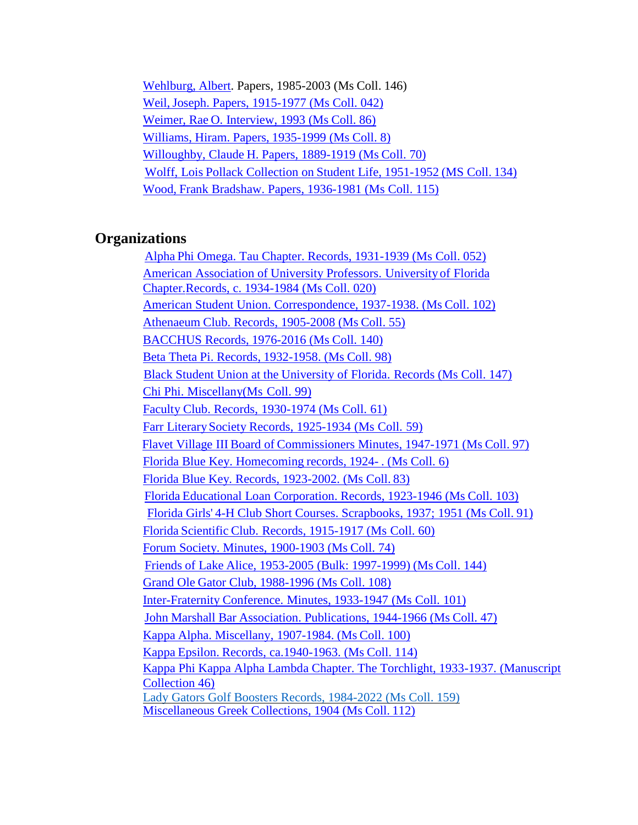[Wehlburg,](https://findingaids.uflib.ufl.edu/repositories/2/resources/1627) Albert. Papers, 1985-2003 (Ms Coll. 146) Weil, Joseph. Papers, 1915-1977 (Ms Coll. 042) Weimer, Rae O. [Interview, 1993 \(Ms](https://findingaids.uflib.ufl.edu/repositories/2/resources/1260) Coll. 86) Williams, Hiram. Papers, [1935-1999](https://findingaids.uflib.ufl.edu/repositories/2/resources/1100) (Ms Coll. 8) Willoughby, Claude H. [Papers, 1889-1919](https://findingaids.uflib.ufl.edu/repositories/2/resources/1242) (Ms Coll. 70) Wolff, Lois Pollack Collection on [Student Life,](https://findingaids.uflib.ufl.edu/repositories/2/resources/1306) 1951-1952 (MS Coll. 134) Wood, Frank [Bradshaw. Papers,](https://findingaids.uflib.ufl.edu/repositories/2/resources/1274) 1936-1981 (Ms Coll. 115)

# **Organizations**

Alpha Phi [Omega. Tau Chapter. Records,](https://findingaids.uflib.ufl.edu/repositories/2/resources/1317) 1931-1939 (Ms Coll. 052) American [Association](https://findingaids.uflib.ufl.edu/repositories/2/resources/1311) of University Professors. University of Florida [Chapter.R](https://findingaids.uflib.ufl.edu/repositories/2/resources/1311)ecords, c. 1934-1984 [\(Ms Coll. 020\)](https://findingaids.uflib.ufl.edu/repositories/2/resources/1311) American Student Union. [Correspondence, 1937-1938.](https://findingaids.uflib.ufl.edu/repositories/2/resources/1362) (Ms Coll. 102) [Athenaeum](https://findingaids.uflib.ufl.edu/repositories/2/resources/1318) Club. Records, 1905-2008 (Ms Coll. 55) [BACCHUS](https://findingaids.uflib.ufl.edu/repositories/2/resources/1529) Records, 1976-2016 (Ms Coll. 140) Beta Theta Pi. Records, [1932-1958.](https://findingaids.uflib.ufl.edu/repositories/2/resources/1366) (Ms Coll. 98) Black Student Union at the [University](https://findingaids.uflib.ufl.edu/repositories/2/resources/1631) of Florida. Records (Ms Coll. 147) Chi Phi. [Miscellany\(Ms](https://findingaids.uflib.ufl.edu/repositories/2/resources/1367) Coll. 99) Faculty Club. Records, [1930-1974 \(Ms](https://findingaids.uflib.ufl.edu/repositories/2/resources/1353) Coll. 61) Farr [LiterarySociety](https://findingaids.uflib.ufl.edu/repositories/2/resources/1356) Records, 1925-1934 (Ms Coll. 59) Flavet Village III Board of Commissioners [Minutes, 1947-1971](https://findingaids.uflib.ufl.edu/repositories/2/resources/1365) (Ms Coll. 97) Florida Blue Key. [Homecoming](https://findingaids.uflib.ufl.edu/repositories/2/resources/1320) records, 1924- . (Ms Coll. 6) Florida Blue Key. [Records, 1923-2002. \(Ms](https://findingaids.uflib.ufl.edu/repositories/2/resources/1360) Coll. 83) Florida Educational Loan Corporation. Records, [1923-1946 \(Ms](https://findingaids.uflib.ufl.edu/repositories/2/resources/1369) Coll. 103) Florida Girls' 4-H [Club Short Courses. Scrapbooks, 1937;](https://findingaids.uflib.ufl.edu/repositories/2/resources/1363) 1951 (Ms Coll. 91) Florida Scientific Club. Records, [1915-1917](https://findingaids.uflib.ufl.edu/repositories/2/resources/1352) (Ms Coll. 60) Forum Society. [Minutes, 1900-1903](https://findingaids.uflib.ufl.edu/repositories/2/resources/1355) (Ms Coll. 74) Friends of Lake Alice, 1953-2005 [\(Bulk: 1997-1999\)](https://findingaids.uflib.ufl.edu/repositories/2/resources/1566) (Ms Coll. 144) Grand Ole Gator Club, [1988-1996](https://findingaids.uflib.ufl.edu/repositories/2/resources/1370) (Ms Coll. 108) [Inter-Fraternity](https://findingaids.uflib.ufl.edu/repositories/2/resources/1361) Conference. Minutes, 1933-1947 (Ms Coll. 101) John Marshall Bar Association. [Publications, 1944-1966](https://findingaids.uflib.ufl.edu/repositories/2/resources/1315) (Ms Coll. 47) Kappa Alpha. [Miscellany,](https://findingaids.uflib.ufl.edu/repositories/2/resources/1368) 1907-1984. (Ms Coll. 100) Kappa Epsilon. Records, [ca.1940-1963.](https://findingaids.uflib.ufl.edu/repositories/2/resources/1373) (Ms Coll. 114) [Kappa Phi Kappa Alpha Lambda Chapter. The Torchlight, 1933-1937. \(Manuscript](https://findingaids.uflib.ufl.edu/repositories/2/resources/1314) [Collection 46\)](https://findingaids.uflib.ufl.edu/repositories/2/resources/1314) [Lady Gators Golf Boosters Records, 1984-2022 \(Ms Coll. 159\)](https://findingaids.uflib.ufl.edu/repositories/2/resources/1777) [Miscellaneous Greek](https://findingaids.uflib.ufl.edu/repositories/2/resources/1072) Collections, 1904 (Ms Coll. 112)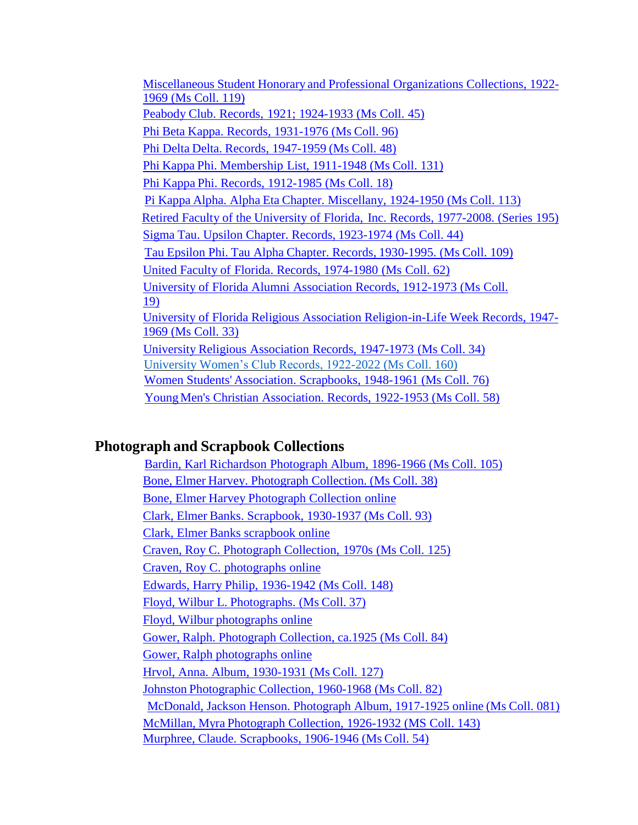Miscellaneous Student Honorary and Professional [Organizations Collections,](https://findingaids.uflib.ufl.edu/repositories/2/resources/1073) 1922- 1969 [\(Ms Coll. 119\)](https://findingaids.uflib.ufl.edu/repositories/2/resources/1073) Peabody Club. Records, 1921; [1924-1933](https://findingaids.uflib.ufl.edu/repositories/2/resources/1309) (Ms Coll. 45) Phi Beta Kappa. Records, [1931-1976](https://findingaids.uflib.ufl.edu/repositories/2/resources/1364) (Ms Coll. 96) Phi Delta Delta. [Records, 1947-1959](https://findingaids.uflib.ufl.edu/repositories/2/resources/1316) (Ms Coll. 48) Phi Kappa Phi. [Membership](https://findingaids.uflib.ufl.edu/repositories/2/resources/1376) List, 1911-1948 (Ms Coll. 131) Phi Kappa Phi. Records, [1912-1985](https://findingaids.uflib.ufl.edu/repositories/2/resources/1321) (Ms Coll. 18) Pi Kappa Alpha. Alpha Eta Chapter. [Miscellany,](https://findingaids.uflib.ufl.edu/repositories/2/resources/1372) 1924-1950 (Ms Coll. 113) Retired Faculty of the University of Florida, Inc. Records, [1977-2008.](https://findingaids.uflib.ufl.edu/repositories/2/resources/1626) (Series 195) Sigma Tau. Upsilon Chapter. Records, [1923-1974](https://findingaids.uflib.ufl.edu/repositories/2/resources/1308) (Ms Coll. 44) Tau Epsilon Phi. Tau Alpha Chapter. Records, [1930-1995.](https://findingaids.uflib.ufl.edu/repositories/2/resources/1371) (Ms Coll. 109) United Faculty of [Florida. Records,](https://findingaids.uflib.ufl.edu/repositories/2/resources/1354) 1974-1980 (Ms Coll. 62) University of Florida Alumni [Association](https://findingaids.uflib.ufl.edu/repositories/2/resources/1310) Records, 1912-1973 (Ms Coll. [19\)](https://findingaids.uflib.ufl.edu/repositories/2/resources/1310) [University of Florida Religious Association Religion-in-Life Week Records, 1947-](https://findingaids.uflib.ufl.edu/repositories/2/resources/1312) [1969 \(Ms Coll. 33\)](https://findingaids.uflib.ufl.edu/repositories/2/resources/1312) University Religious [Association](https://findingaids.uflib.ufl.edu/repositories/2/resources/1313) Records, 1947-1973 (Ms Coll. 34) [University Women's Club Records, 1922-2022 \(Ms Coll. 160\)](https://findingaids.uflib.ufl.edu/repositories/2/resources/1785) Women Students' [Association. Scrapbooks,](https://findingaids.uflib.ufl.edu/repositories/2/resources/1359) 1948-1961 (Ms Coll. 76) [YoungMen's](https://findingaids.uflib.ufl.edu/repositories/2/resources/1319) Christian Association. Records, 1922-1953 (Ms Coll. 58)

### **Photograph and Scrapbook Collections**

Bardin, Karl Richardson [Photograph](https://findingaids.uflib.ufl.edu/repositories/2/resources/1277) Album, 1896-1966 (Ms Coll. 105) Bone, Elmer Harvey. [Photograph](https://findingaids.uflib.ufl.edu/repositories/2/resources/1228) Collection. (Ms Coll. 38) Bone, Elmer Harvey [Photograph](https://ufdc.ufl.edu/bone) Collection online Clark, Elmer Banks. [Scrapbook,](https://findingaids.uflib.ufl.edu/repositories/2/resources/1256) 1930-1937 (Ms Coll. 93) Clark, Elmer Banks [scrapbook](https://ufdc.ufl.edu/AA00000503/00001/allvolumes) online Craven, Roy C. [Photograph](https://findingaids.uflib.ufl.edu/repositories/2/resources/1294) Collection, 1970s (Ms Coll. 125) Craven, Roy C. [photographs](https://ufdc.ufl.edu/craven/all) online Edwards, Harry Philip, [1936-1942](https://findingaids.uflib.ufl.edu/repositories/2/resources/1669) (Ms Coll. 148) Floyd, Wilbur L. [Photographs.](https://findingaids.uflib.ufl.edu/repositories/2/resources/1227) (Ms Coll. 37) Floyd, Wilbur [photographs](https://ufdc.ufl.edu/UF90000170/00001/allvolumes) online Gower, Ralph. Photograph Collection, [ca.1925 \(Ms](https://findingaids.uflib.ufl.edu/repositories/2/resources/1250) Coll. 84) Gower, Ralph [photographs](https://ufdc.ufl.edu/UF00001624/00001/allvolumes) online Hrvol, Anna. [Album, 1930-1931](https://findingaids.uflib.ufl.edu/repositories/2/resources/1297) (Ms Coll. 127) Johnston [Photographic](https://findingaids.uflib.ufl.edu/repositories/2/resources/1249) Collection, 1960-1968 (Ms Coll. 82) McDonald, Jackson [Henson. Photograph](https://findingaids.uflib.ufl.edu/repositories/2/resources/1248) Album, 1917-1925 online (Ms Coll. 081) McMillan, Myra [Photograph](https://findingaids.uflib.ufl.edu/repositories/2/resources/1541) Collection, 1926-1932 (MS Coll. 143) Murphree, Claude. [Scrapbooks, 1906-1946](https://findingaids.uflib.ufl.edu/repositories/2/resources/1236) (Ms Coll. 54)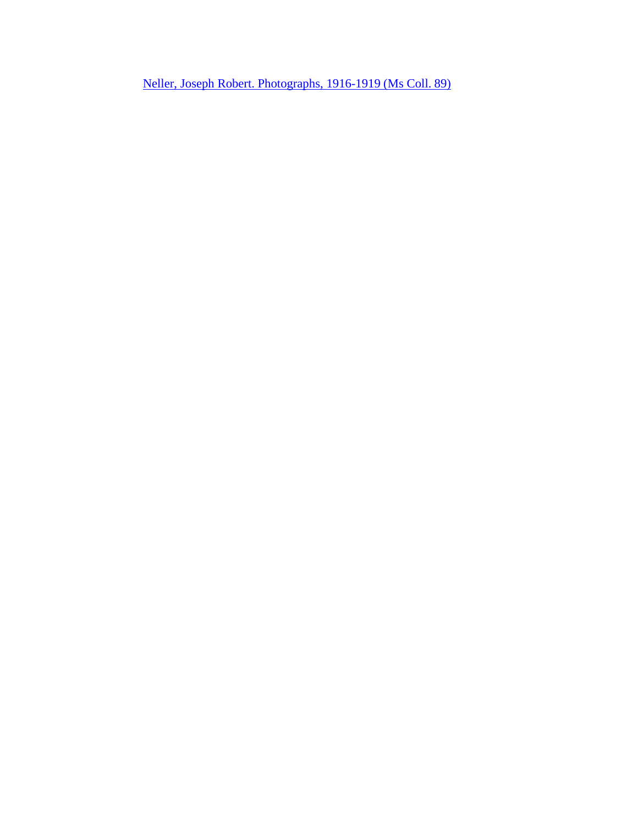Neller, Joseph Robert. [Photographs,](https://findingaids.uflib.ufl.edu/repositories/2/resources/1262) 1916-1919 (Ms Coll. 89)